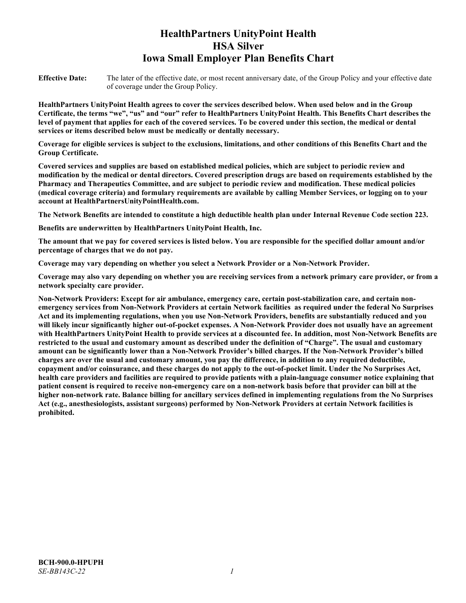# **HealthPartners UnityPoint Health HSA Silver Iowa Small Employer Plan Benefits Chart**

**Effective Date:** The later of the effective date, or most recent anniversary date, of the Group Policy and your effective date of coverage under the Group Policy.

**HealthPartners UnityPoint Health agrees to cover the services described below. When used below and in the Group Certificate, the terms "we", "us" and "our" refer to HealthPartners UnityPoint Health. This Benefits Chart describes the level of payment that applies for each of the covered services. To be covered under this section, the medical or dental services or items described below must be medically or dentally necessary.**

**Coverage for eligible services is subject to the exclusions, limitations, and other conditions of this Benefits Chart and the Group Certificate.** 

**Covered services and supplies are based on established medical policies, which are subject to periodic review and modification by the medical or dental directors. Covered prescription drugs are based on requirements established by the Pharmacy and Therapeutics Committee, and are subject to periodic review and modification. These medical policies (medical coverage criteria) and formulary requirements are available by calling Member Services, or logging on to your account at [HealthPartnersUnityPointHealth.com.](https://www.healthpartnersunitypointhealth.com/)**

**The Network Benefits are intended to constitute a high deductible health plan under Internal Revenue Code section 223.**

**Benefits are underwritten by HealthPartners UnityPoint Health, Inc.**

**The amount that we pay for covered services is listed below. You are responsible for the specified dollar amount and/or percentage of charges that we do not pay.**

**Coverage may vary depending on whether you select a Network Provider or a Non-Network Provider.**

**Coverage may also vary depending on whether you are receiving services from a network primary care provider, or from a network specialty care provider.**

**Non-Network Providers: Except for air ambulance, emergency care, certain post-stabilization care, and certain nonemergency services from Non-Network Providers at certain Network facilities as required under the federal No Surprises Act and its implementing regulations, when you use Non-Network Providers, benefits are substantially reduced and you will likely incur significantly higher out-of-pocket expenses. A Non-Network Provider does not usually have an agreement with HealthPartners UnityPoint Health to provide services at a discounted fee. In addition, most Non-Network Benefits are restricted to the usual and customary amount as described under the definition of "Charge". The usual and customary amount can be significantly lower than a Non-Network Provider's billed charges. If the Non-Network Provider's billed charges are over the usual and customary amount, you pay the difference, in addition to any required deductible, copayment and/or coinsurance, and these charges do not apply to the out-of-pocket limit. Under the No Surprises Act, health care providers and facilities are required to provide patients with a plain-language consumer notice explaining that patient consent is required to receive non-emergency care on a non-network basis before that provider can bill at the higher non-network rate. Balance billing for ancillary services defined in implementing regulations from the No Surprises Act (e.g., anesthesiologists, assistant surgeons) performed by Non-Network Providers at certain Network facilities is prohibited.**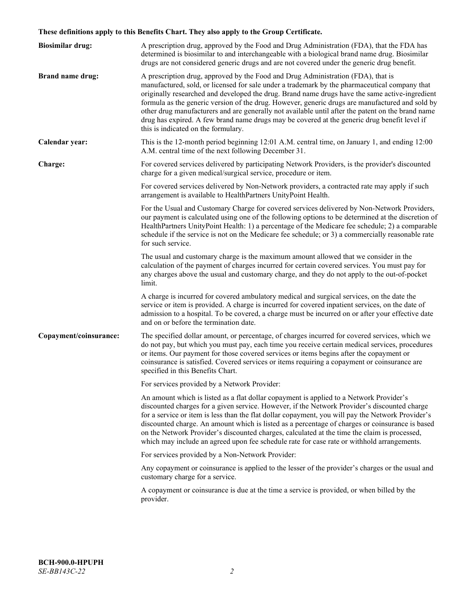# **These definitions apply to this Benefits Chart. They also apply to the Group Certificate.**

| <b>Biosimilar drug:</b> | A prescription drug, approved by the Food and Drug Administration (FDA), that the FDA has<br>determined is biosimilar to and interchangeable with a biological brand name drug. Biosimilar<br>drugs are not considered generic drugs and are not covered under the generic drug benefit.                                                                                                                                                                                                                                                                                                                                           |
|-------------------------|------------------------------------------------------------------------------------------------------------------------------------------------------------------------------------------------------------------------------------------------------------------------------------------------------------------------------------------------------------------------------------------------------------------------------------------------------------------------------------------------------------------------------------------------------------------------------------------------------------------------------------|
| <b>Brand name drug:</b> | A prescription drug, approved by the Food and Drug Administration (FDA), that is<br>manufactured, sold, or licensed for sale under a trademark by the pharmaceutical company that<br>originally researched and developed the drug. Brand name drugs have the same active-ingredient<br>formula as the generic version of the drug. However, generic drugs are manufactured and sold by<br>other drug manufacturers and are generally not available until after the patent on the brand name<br>drug has expired. A few brand name drugs may be covered at the generic drug benefit level if<br>this is indicated on the formulary. |
| Calendar year:          | This is the 12-month period beginning 12:01 A.M. central time, on January 1, and ending 12:00<br>A.M. central time of the next following December 31.                                                                                                                                                                                                                                                                                                                                                                                                                                                                              |
| Charge:                 | For covered services delivered by participating Network Providers, is the provider's discounted<br>charge for a given medical/surgical service, procedure or item.                                                                                                                                                                                                                                                                                                                                                                                                                                                                 |
|                         | For covered services delivered by Non-Network providers, a contracted rate may apply if such<br>arrangement is available to HealthPartners UnityPoint Health.                                                                                                                                                                                                                                                                                                                                                                                                                                                                      |
|                         | For the Usual and Customary Charge for covered services delivered by Non-Network Providers,<br>our payment is calculated using one of the following options to be determined at the discretion of<br>HealthPartners UnityPoint Health: 1) a percentage of the Medicare fee schedule; 2) a comparable<br>schedule if the service is not on the Medicare fee schedule; or 3) a commercially reasonable rate<br>for such service.                                                                                                                                                                                                     |
|                         | The usual and customary charge is the maximum amount allowed that we consider in the<br>calculation of the payment of charges incurred for certain covered services. You must pay for<br>any charges above the usual and customary charge, and they do not apply to the out-of-pocket<br>limit.                                                                                                                                                                                                                                                                                                                                    |
|                         | A charge is incurred for covered ambulatory medical and surgical services, on the date the<br>service or item is provided. A charge is incurred for covered inpatient services, on the date of<br>admission to a hospital. To be covered, a charge must be incurred on or after your effective date<br>and on or before the termination date.                                                                                                                                                                                                                                                                                      |
| Copayment/coinsurance:  | The specified dollar amount, or percentage, of charges incurred for covered services, which we<br>do not pay, but which you must pay, each time you receive certain medical services, procedures<br>or items. Our payment for those covered services or items begins after the copayment or<br>coinsurance is satisfied. Covered services or items requiring a copayment or coinsurance are<br>specified in this Benefits Chart.                                                                                                                                                                                                   |
|                         | For services provided by a Network Provider:                                                                                                                                                                                                                                                                                                                                                                                                                                                                                                                                                                                       |
|                         | An amount which is listed as a flat dollar copayment is applied to a Network Provider's<br>discounted charges for a given service. However, if the Network Provider's discounted charge<br>for a service or item is less than the flat dollar copayment, you will pay the Network Provider's<br>discounted charge. An amount which is listed as a percentage of charges or coinsurance is based<br>on the Network Provider's discounted charges, calculated at the time the claim is processed,<br>which may include an agreed upon fee schedule rate for case rate or withhold arrangements.                                      |
|                         | For services provided by a Non-Network Provider:                                                                                                                                                                                                                                                                                                                                                                                                                                                                                                                                                                                   |
|                         | Any copayment or coinsurance is applied to the lesser of the provider's charges or the usual and<br>customary charge for a service.                                                                                                                                                                                                                                                                                                                                                                                                                                                                                                |
|                         | A copayment or coinsurance is due at the time a service is provided, or when billed by the<br>provider.                                                                                                                                                                                                                                                                                                                                                                                                                                                                                                                            |
|                         |                                                                                                                                                                                                                                                                                                                                                                                                                                                                                                                                                                                                                                    |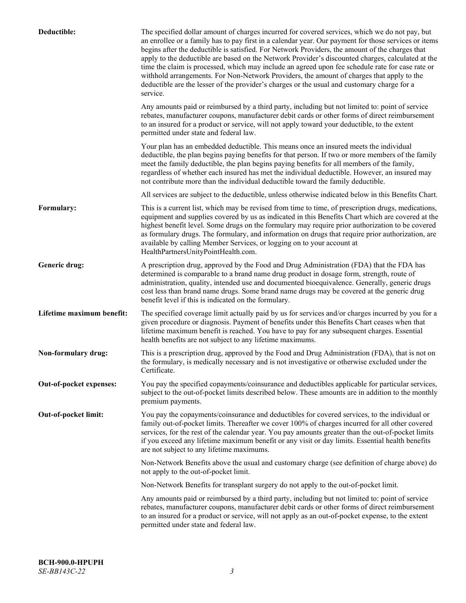| Deductible:               | The specified dollar amount of charges incurred for covered services, which we do not pay, but<br>an enrollee or a family has to pay first in a calendar year. Our payment for those services or items<br>begins after the deductible is satisfied. For Network Providers, the amount of the charges that<br>apply to the deductible are based on the Network Provider's discounted charges, calculated at the<br>time the claim is processed, which may include an agreed upon fee schedule rate for case rate or<br>withhold arrangements. For Non-Network Providers, the amount of charges that apply to the<br>deductible are the lesser of the provider's charges or the usual and customary charge for a<br>service. |
|---------------------------|----------------------------------------------------------------------------------------------------------------------------------------------------------------------------------------------------------------------------------------------------------------------------------------------------------------------------------------------------------------------------------------------------------------------------------------------------------------------------------------------------------------------------------------------------------------------------------------------------------------------------------------------------------------------------------------------------------------------------|
|                           | Any amounts paid or reimbursed by a third party, including but not limited to: point of service<br>rebates, manufacturer coupons, manufacturer debit cards or other forms of direct reimbursement<br>to an insured for a product or service, will not apply toward your deductible, to the extent<br>permitted under state and federal law.                                                                                                                                                                                                                                                                                                                                                                                |
|                           | Your plan has an embedded deductible. This means once an insured meets the individual<br>deductible, the plan begins paying benefits for that person. If two or more members of the family<br>meet the family deductible, the plan begins paying benefits for all members of the family,<br>regardless of whether each insured has met the individual deductible. However, an insured may<br>not contribute more than the individual deductible toward the family deductible.                                                                                                                                                                                                                                              |
|                           | All services are subject to the deductible, unless otherwise indicated below in this Benefits Chart.                                                                                                                                                                                                                                                                                                                                                                                                                                                                                                                                                                                                                       |
| Formulary:                | This is a current list, which may be revised from time to time, of prescription drugs, medications,<br>equipment and supplies covered by us as indicated in this Benefits Chart which are covered at the<br>highest benefit level. Some drugs on the formulary may require prior authorization to be covered<br>as formulary drugs. The formulary, and information on drugs that require prior authorization, are<br>available by calling Member Services, or logging on to your account at<br>HealthPartnersUnityPointHealth.com.                                                                                                                                                                                         |
| Generic drug:             | A prescription drug, approved by the Food and Drug Administration (FDA) that the FDA has<br>determined is comparable to a brand name drug product in dosage form, strength, route of<br>administration, quality, intended use and documented bioequivalence. Generally, generic drugs<br>cost less than brand name drugs. Some brand name drugs may be covered at the generic drug<br>benefit level if this is indicated on the formulary.                                                                                                                                                                                                                                                                                 |
| Lifetime maximum benefit: | The specified coverage limit actually paid by us for services and/or charges incurred by you for a<br>given procedure or diagnosis. Payment of benefits under this Benefits Chart ceases when that<br>lifetime maximum benefit is reached. You have to pay for any subsequent charges. Essential<br>health benefits are not subject to any lifetime maximums.                                                                                                                                                                                                                                                                                                                                                              |
| Non-formulary drug:       | This is a prescription drug, approved by the Food and Drug Administration (FDA), that is not on<br>the formulary, is medically necessary and is not investigative or otherwise excluded under the<br>Certificate.                                                                                                                                                                                                                                                                                                                                                                                                                                                                                                          |
| Out-of-pocket expenses:   | You pay the specified copayments/coinsurance and deductibles applicable for particular services,<br>subject to the out-of-pocket limits described below. These amounts are in addition to the monthly<br>premium payments.                                                                                                                                                                                                                                                                                                                                                                                                                                                                                                 |
| Out-of-pocket limit:      | You pay the copayments/coinsurance and deductibles for covered services, to the individual or<br>family out-of-pocket limits. Thereafter we cover 100% of charges incurred for all other covered<br>services, for the rest of the calendar year. You pay amounts greater than the out-of-pocket limits<br>if you exceed any lifetime maximum benefit or any visit or day limits. Essential health benefits<br>are not subject to any lifetime maximums.                                                                                                                                                                                                                                                                    |
|                           | Non-Network Benefits above the usual and customary charge (see definition of charge above) do<br>not apply to the out-of-pocket limit.                                                                                                                                                                                                                                                                                                                                                                                                                                                                                                                                                                                     |
|                           | Non-Network Benefits for transplant surgery do not apply to the out-of-pocket limit.                                                                                                                                                                                                                                                                                                                                                                                                                                                                                                                                                                                                                                       |
|                           | Any amounts paid or reimbursed by a third party, including but not limited to: point of service<br>rebates, manufacturer coupons, manufacturer debit cards or other forms of direct reimbursement<br>to an insured for a product or service, will not apply as an out-of-pocket expense, to the extent<br>permitted under state and federal law.                                                                                                                                                                                                                                                                                                                                                                           |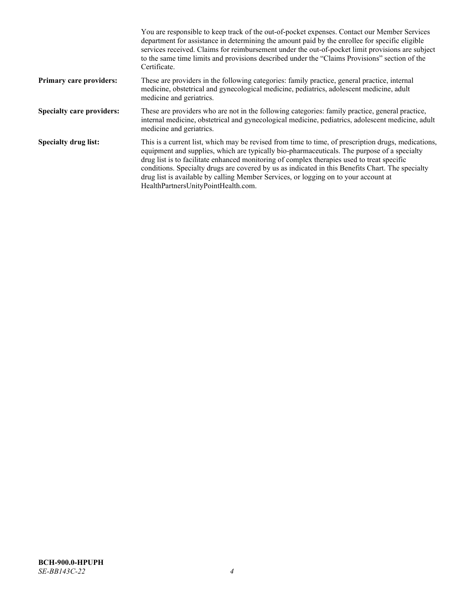|                                  | You are responsible to keep track of the out-of-pocket expenses. Contact our Member Services<br>department for assistance in determining the amount paid by the enrollee for specific eligible<br>services received. Claims for reimbursement under the out-of-pocket limit provisions are subject<br>to the same time limits and provisions described under the "Claims Provisions" section of the<br>Certificate.                                                                                                                |
|----------------------------------|------------------------------------------------------------------------------------------------------------------------------------------------------------------------------------------------------------------------------------------------------------------------------------------------------------------------------------------------------------------------------------------------------------------------------------------------------------------------------------------------------------------------------------|
| <b>Primary care providers:</b>   | These are providers in the following categories: family practice, general practice, internal<br>medicine, obstetrical and gynecological medicine, pediatrics, adolescent medicine, adult<br>medicine and geriatrics.                                                                                                                                                                                                                                                                                                               |
| <b>Specialty care providers:</b> | These are providers who are not in the following categories: family practice, general practice,<br>internal medicine, obstetrical and gynecological medicine, pediatrics, adolescent medicine, adult<br>medicine and geriatrics.                                                                                                                                                                                                                                                                                                   |
| <b>Specialty drug list:</b>      | This is a current list, which may be revised from time to time, of prescription drugs, medications,<br>equipment and supplies, which are typically bio-pharmaceuticals. The purpose of a specialty<br>drug list is to facilitate enhanced monitoring of complex therapies used to treat specific<br>conditions. Specialty drugs are covered by us as indicated in this Benefits Chart. The specialty<br>drug list is available by calling Member Services, or logging on to your account at<br>HealthPartnersUnityPointHealth.com. |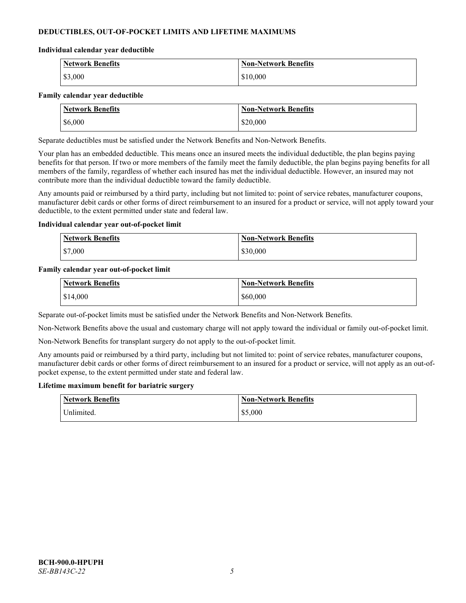# **DEDUCTIBLES, OUT-OF-POCKET LIMITS AND LIFETIME MAXIMUMS**

### **Individual calendar year deductible**

| Network Benefits | <b>Non-Network Benefits</b> |
|------------------|-----------------------------|
| \$3,000          | \$10,000                    |

### **Family calendar year deductible**

| <b>Network Benefits</b> | <b>Non-Network Benefits</b> |
|-------------------------|-----------------------------|
| \$6,000                 | \$20,000                    |

Separate deductibles must be satisfied under the Network Benefits and Non-Network Benefits.

Your plan has an embedded deductible. This means once an insured meets the individual deductible, the plan begins paying benefits for that person. If two or more members of the family meet the family deductible, the plan begins paying benefits for all members of the family, regardless of whether each insured has met the individual deductible. However, an insured may not contribute more than the individual deductible toward the family deductible.

Any amounts paid or reimbursed by a third party, including but not limited to: point of service rebates, manufacturer coupons, manufacturer debit cards or other forms of direct reimbursement to an insured for a product or service, will not apply toward your deductible, to the extent permitted under state and federal law.

### **Individual calendar year out-of-pocket limit**

| <b>Network Benefits</b> | <b>Non-Network Benefits</b> |
|-------------------------|-----------------------------|
| \$7,000                 | \$30,000                    |

### **Family calendar year out-of-pocket limit**

| <b>Network Benefits</b> | <b>Non-Network Benefits</b> |
|-------------------------|-----------------------------|
| \$14,000                | \$60,000                    |

Separate out-of-pocket limits must be satisfied under the Network Benefits and Non-Network Benefits.

Non-Network Benefits above the usual and customary charge will not apply toward the individual or family out-of-pocket limit.

Non-Network Benefits for transplant surgery do not apply to the out-of-pocket limit.

Any amounts paid or reimbursed by a third party, including but not limited to: point of service rebates, manufacturer coupons, manufacturer debit cards or other forms of direct reimbursement to an insured for a product or service, will not apply as an out-ofpocket expense, to the extent permitted under state and federal law.

#### **Lifetime maximum benefit for bariatric surgery**

| <b>Network Benefits</b> | <b>Non-Network Benefits</b> |
|-------------------------|-----------------------------|
| Unlimited.              | \$5,000                     |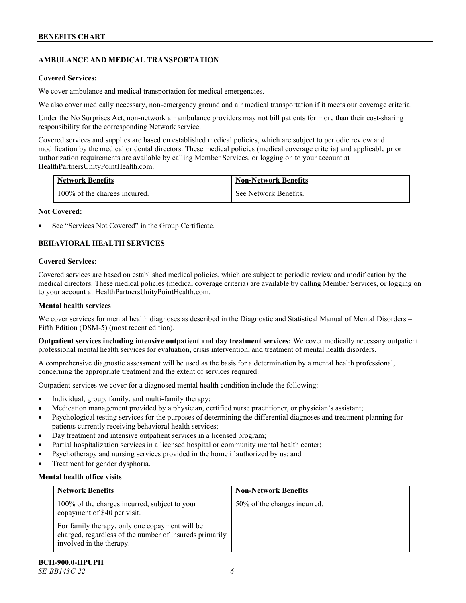# **AMBULANCE AND MEDICAL TRANSPORTATION**

# **Covered Services:**

We cover ambulance and medical transportation for medical emergencies.

We also cover medically necessary, non-emergency ground and air medical transportation if it meets our coverage criteria.

Under the No Surprises Act, non-network air ambulance providers may not bill patients for more than their cost-sharing responsibility for the corresponding Network service.

Covered services and supplies are based on established medical policies, which are subject to periodic review and modification by the medical or dental directors. These medical policies (medical coverage criteria) and applicable prior authorization requirements are available by calling Member Services, or logging on to your account at [HealthPartnersUnityPointHealth.com.](https://www.healthpartnersunitypointhealth.com/)

| <b>Network Benefits</b>       | <b>Non-Network Benefits</b> |
|-------------------------------|-----------------------------|
| 100% of the charges incurred. | See Network Benefits.       |

# **Not Covered:**

See "Services Not Covered" in the Group Certificate.

# **BEHAVIORAL HEALTH SERVICES**

# **Covered Services:**

Covered services are based on established medical policies, which are subject to periodic review and modification by the medical directors. These medical policies (medical coverage criteria) are available by calling Member Services, or logging on to your account at [HealthPartnersUnityPointHealth.com.](https://www.healthpartnersunitypointhealth.com/)

# **Mental health services**

We cover services for mental health diagnoses as described in the Diagnostic and Statistical Manual of Mental Disorders – Fifth Edition (DSM-5) (most recent edition).

**Outpatient services including intensive outpatient and day treatment services:** We cover medically necessary outpatient professional mental health services for evaluation, crisis intervention, and treatment of mental health disorders.

A comprehensive diagnostic assessment will be used as the basis for a determination by a mental health professional, concerning the appropriate treatment and the extent of services required.

Outpatient services we cover for a diagnosed mental health condition include the following:

- Individual, group, family, and multi-family therapy;
- Medication management provided by a physician, certified nurse practitioner, or physician's assistant;
- Psychological testing services for the purposes of determining the differential diagnoses and treatment planning for patients currently receiving behavioral health services;
- Day treatment and intensive outpatient services in a licensed program;
- Partial hospitalization services in a licensed hospital or community mental health center;
- Psychotherapy and nursing services provided in the home if authorized by us; and
- Treatment for gender dysphoria.

# **Mental health office visits**

| <b>Network Benefits</b>                                                                                                               | <b>Non-Network Benefits</b>  |
|---------------------------------------------------------------------------------------------------------------------------------------|------------------------------|
| 100% of the charges incurred, subject to your<br>copayment of \$40 per visit.                                                         | 50% of the charges incurred. |
| For family therapy, only one copayment will be<br>charged, regardless of the number of insureds primarily<br>involved in the therapy. |                              |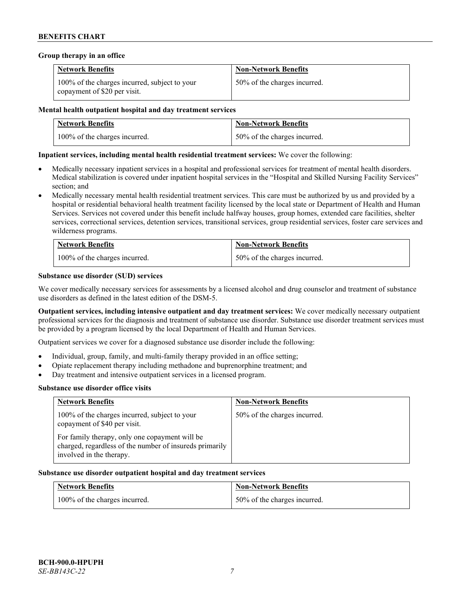### **Group therapy in an office**

| <b>Network Benefits</b>                                                       | <b>Non-Network Benefits</b>  |
|-------------------------------------------------------------------------------|------------------------------|
| 100% of the charges incurred, subject to your<br>copayment of \$20 per visit. | 50% of the charges incurred. |

### **Mental health outpatient hospital and day treatment services**

| <b>Network Benefits</b>       | <b>Non-Network Benefits</b>  |
|-------------------------------|------------------------------|
| 100% of the charges incurred. | 50% of the charges incurred. |

# **Inpatient services, including mental health residential treatment services:** We cover the following:

- Medically necessary inpatient services in a hospital and professional services for treatment of mental health disorders. Medical stabilization is covered under inpatient hospital services in the "Hospital and Skilled Nursing Facility Services" section; and
- Medically necessary mental health residential treatment services. This care must be authorized by us and provided by a hospital or residential behavioral health treatment facility licensed by the local state or Department of Health and Human Services. Services not covered under this benefit include halfway houses, group homes, extended care facilities, shelter services, correctional services, detention services, transitional services, group residential services, foster care services and wilderness programs.

| <b>Network Benefits</b>       | <b>Non-Network Benefits</b>  |
|-------------------------------|------------------------------|
| 100% of the charges incurred. | 50% of the charges incurred. |

# **Substance use disorder (SUD) services**

We cover medically necessary services for assessments by a licensed alcohol and drug counselor and treatment of substance use disorders as defined in the latest edition of the DSM-5.

**Outpatient services, including intensive outpatient and day treatment services:** We cover medically necessary outpatient professional services for the diagnosis and treatment of substance use disorder. Substance use disorder treatment services must be provided by a program licensed by the local Department of Health and Human Services.

Outpatient services we cover for a diagnosed substance use disorder include the following:

- Individual, group, family, and multi-family therapy provided in an office setting;
- Opiate replacement therapy including methadone and buprenorphine treatment; and
- Day treatment and intensive outpatient services in a licensed program.

#### **Substance use disorder office visits**

| <b>Network Benefits</b>                                                                                                               | <b>Non-Network Benefits</b>  |
|---------------------------------------------------------------------------------------------------------------------------------------|------------------------------|
| 100% of the charges incurred, subject to your<br>copayment of \$40 per visit.                                                         | 50% of the charges incurred. |
| For family therapy, only one copayment will be<br>charged, regardless of the number of insureds primarily<br>involved in the therapy. |                              |

#### **Substance use disorder outpatient hospital and day treatment services**

| <b>Network Benefits</b>       | <b>Non-Network Benefits</b>  |
|-------------------------------|------------------------------|
| 100% of the charges incurred. | 50% of the charges incurred. |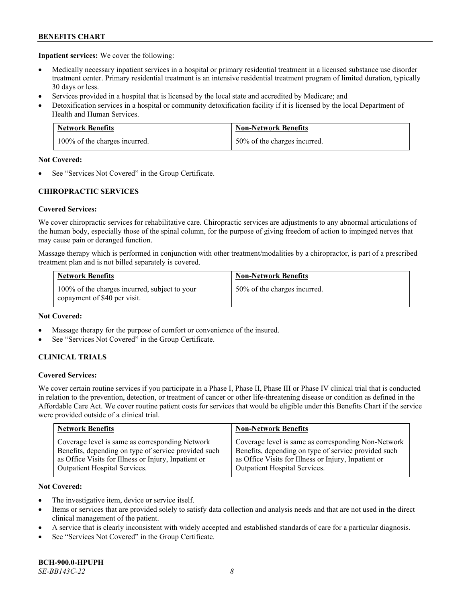**Inpatient services:** We cover the following:

- Medically necessary inpatient services in a hospital or primary residential treatment in a licensed substance use disorder treatment center. Primary residential treatment is an intensive residential treatment program of limited duration, typically 30 days or less.
- Services provided in a hospital that is licensed by the local state and accredited by Medicare; and
- Detoxification services in a hospital or community detoxification facility if it is licensed by the local Department of Health and Human Services.

| <b>Network Benefits</b>       | <b>Non-Network Benefits</b>  |
|-------------------------------|------------------------------|
| 100% of the charges incurred. | 50% of the charges incurred. |

# **Not Covered:**

See "Services Not Covered" in the Group Certificate.

# **CHIROPRACTIC SERVICES**

# **Covered Services:**

We cover chiropractic services for rehabilitative care. Chiropractic services are adjustments to any abnormal articulations of the human body, especially those of the spinal column, for the purpose of giving freedom of action to impinged nerves that may cause pain or deranged function.

Massage therapy which is performed in conjunction with other treatment/modalities by a chiropractor, is part of a prescribed treatment plan and is not billed separately is covered.

| <b>Network Benefits</b>                                                       | <b>Non-Network Benefits</b>  |
|-------------------------------------------------------------------------------|------------------------------|
| 100% of the charges incurred, subject to your<br>copayment of \$40 per visit. | 50% of the charges incurred. |

# **Not Covered:**

- Massage therapy for the purpose of comfort or convenience of the insured.
- See "Services Not Covered" in the Group Certificate.

# **CLINICAL TRIALS**

# **Covered Services:**

We cover certain routine services if you participate in a Phase I, Phase II, Phase III or Phase IV clinical trial that is conducted in relation to the prevention, detection, or treatment of cancer or other life-threatening disease or condition as defined in the Affordable Care Act. We cover routine patient costs for services that would be eligible under this Benefits Chart if the service were provided outside of a clinical trial.

| <b>Network Benefits</b>                              | <b>Non-Network Benefits</b>                          |
|------------------------------------------------------|------------------------------------------------------|
| Coverage level is same as corresponding Network      | Coverage level is same as corresponding Non-Network  |
| Benefits, depending on type of service provided such | Benefits, depending on type of service provided such |
| as Office Visits for Illness or Injury, Inpatient or | as Office Visits for Illness or Injury, Inpatient or |
| Outpatient Hospital Services.                        | Outpatient Hospital Services.                        |

# **Not Covered:**

- The investigative item, device or service itself.
- Items or services that are provided solely to satisfy data collection and analysis needs and that are not used in the direct clinical management of the patient.
- A service that is clearly inconsistent with widely accepted and established standards of care for a particular diagnosis.
- See "Services Not Covered" in the Group Certificate.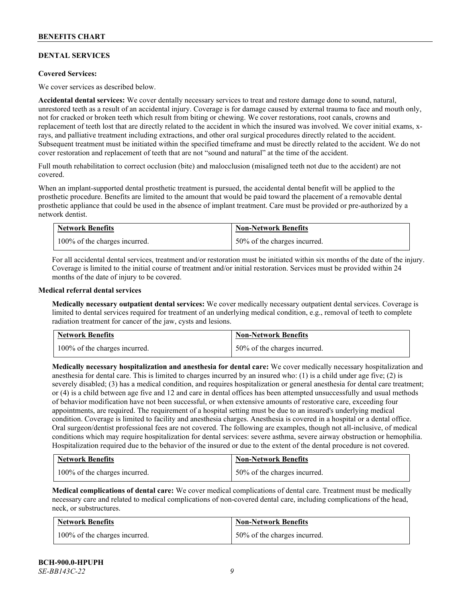# **DENTAL SERVICES**

### **Covered Services:**

We cover services as described below.

**Accidental dental services:** We cover dentally necessary services to treat and restore damage done to sound, natural, unrestored teeth as a result of an accidental injury. Coverage is for damage caused by external trauma to face and mouth only, not for cracked or broken teeth which result from biting or chewing. We cover restorations, root canals, crowns and replacement of teeth lost that are directly related to the accident in which the insured was involved. We cover initial exams, xrays, and palliative treatment including extractions, and other oral surgical procedures directly related to the accident. Subsequent treatment must be initiated within the specified timeframe and must be directly related to the accident. We do not cover restoration and replacement of teeth that are not "sound and natural" at the time of the accident.

Full mouth rehabilitation to correct occlusion (bite) and malocclusion (misaligned teeth not due to the accident) are not covered.

When an implant-supported dental prosthetic treatment is pursued, the accidental dental benefit will be applied to the prosthetic procedure. Benefits are limited to the amount that would be paid toward the placement of a removable dental prosthetic appliance that could be used in the absence of implant treatment. Care must be provided or pre-authorized by a network dentist.

| <b>Network Benefits</b>       | <b>Non-Network Benefits</b>  |
|-------------------------------|------------------------------|
| 100% of the charges incurred. | 50% of the charges incurred. |

For all accidental dental services, treatment and/or restoration must be initiated within six months of the date of the injury. Coverage is limited to the initial course of treatment and/or initial restoration. Services must be provided within 24 months of the date of injury to be covered.

### **Medical referral dental services**

**Medically necessary outpatient dental services:** We cover medically necessary outpatient dental services. Coverage is limited to dental services required for treatment of an underlying medical condition, e.g., removal of teeth to complete radiation treatment for cancer of the jaw, cysts and lesions.

| <b>Network Benefits</b>       | <b>Non-Network Benefits</b>  |
|-------------------------------|------------------------------|
| 100% of the charges incurred. | 50% of the charges incurred. |

**Medically necessary hospitalization and anesthesia for dental care:** We cover medically necessary hospitalization and anesthesia for dental care. This is limited to charges incurred by an insured who: (1) is a child under age five; (2) is severely disabled; (3) has a medical condition, and requires hospitalization or general anesthesia for dental care treatment; or (4) is a child between age five and 12 and care in dental offices has been attempted unsuccessfully and usual methods of behavior modification have not been successful, or when extensive amounts of restorative care, exceeding four appointments, are required. The requirement of a hospital setting must be due to an insured's underlying medical condition. Coverage is limited to facility and anesthesia charges. Anesthesia is covered in a hospital or a dental office. Oral surgeon/dentist professional fees are not covered. The following are examples, though not all-inclusive, of medical conditions which may require hospitalization for dental services: severe asthma, severe airway obstruction or hemophilia. Hospitalization required due to the behavior of the insured or due to the extent of the dental procedure is not covered.

| <b>Network Benefits</b>       | <b>Non-Network Benefits</b>  |
|-------------------------------|------------------------------|
| 100% of the charges incurred. | 50% of the charges incurred. |

**Medical complications of dental care:** We cover medical complications of dental care. Treatment must be medically necessary care and related to medical complications of non-covered dental care, including complications of the head, neck, or substructures.

| <b>Network Benefits</b>       | <b>Non-Network Benefits</b>  |
|-------------------------------|------------------------------|
| 100% of the charges incurred. | 50% of the charges incurred. |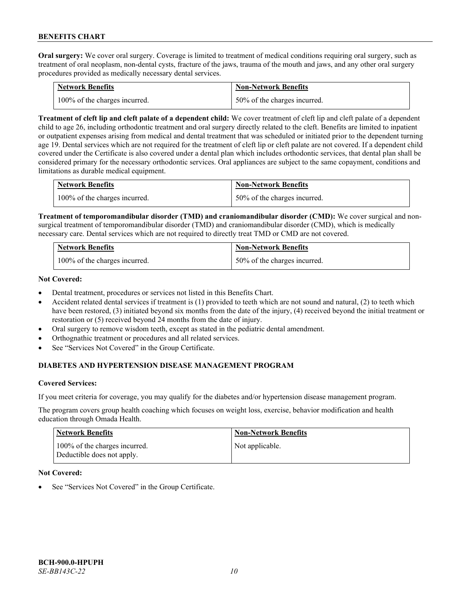**Oral surgery:** We cover oral surgery. Coverage is limited to treatment of medical conditions requiring oral surgery, such as treatment of oral neoplasm, non-dental cysts, fracture of the jaws, trauma of the mouth and jaws, and any other oral surgery procedures provided as medically necessary dental services.

| <b>Network Benefits</b>       | <b>Non-Network Benefits</b>  |
|-------------------------------|------------------------------|
| 100% of the charges incurred. | 50% of the charges incurred. |

**Treatment of cleft lip and cleft palate of a dependent child:** We cover treatment of cleft lip and cleft palate of a dependent child to age 26, including orthodontic treatment and oral surgery directly related to the cleft. Benefits are limited to inpatient or outpatient expenses arising from medical and dental treatment that was scheduled or initiated prior to the dependent turning age 19. Dental services which are not required for the treatment of cleft lip or cleft palate are not covered. If a dependent child covered under the Certificate is also covered under a dental plan which includes orthodontic services, that dental plan shall be considered primary for the necessary orthodontic services. Oral appliances are subject to the same copayment, conditions and limitations as durable medical equipment.

| <b>Network Benefits</b>       | <b>Non-Network Benefits</b>      |
|-------------------------------|----------------------------------|
| 100% of the charges incurred. | $150\%$ of the charges incurred. |

**Treatment of temporomandibular disorder (TMD) and craniomandibular disorder (CMD):** We cover surgical and nonsurgical treatment of temporomandibular disorder (TMD) and craniomandibular disorder (CMD), which is medically necessary care. Dental services which are not required to directly treat TMD or CMD are not covered.

| <b>Network Benefits</b>       | <b>Non-Network Benefits</b>  |
|-------------------------------|------------------------------|
| 100% of the charges incurred. | 50% of the charges incurred. |

# **Not Covered:**

- Dental treatment, procedures or services not listed in this Benefits Chart.
- Accident related dental services if treatment is (1) provided to teeth which are not sound and natural, (2) to teeth which have been restored, (3) initiated beyond six months from the date of the injury, (4) received beyond the initial treatment or restoration or (5) received beyond 24 months from the date of injury.
- Oral surgery to remove wisdom teeth, except as stated in the pediatric dental amendment.
- Orthognathic treatment or procedures and all related services.
- See "Services Not Covered" in the Group Certificate.

# **DIABETES AND HYPERTENSION DISEASE MANAGEMENT PROGRAM**

#### **Covered Services:**

If you meet criteria for coverage, you may qualify for the diabetes and/or hypertension disease management program.

The program covers group health coaching which focuses on weight loss, exercise, behavior modification and health education through Omada Health.

| <b>Network Benefits</b>                                     | <b>Non-Network Benefits</b> |
|-------------------------------------------------------------|-----------------------------|
| 100% of the charges incurred.<br>Deductible does not apply. | Not applicable.             |

### **Not Covered:**

See "Services Not Covered" in the Group Certificate.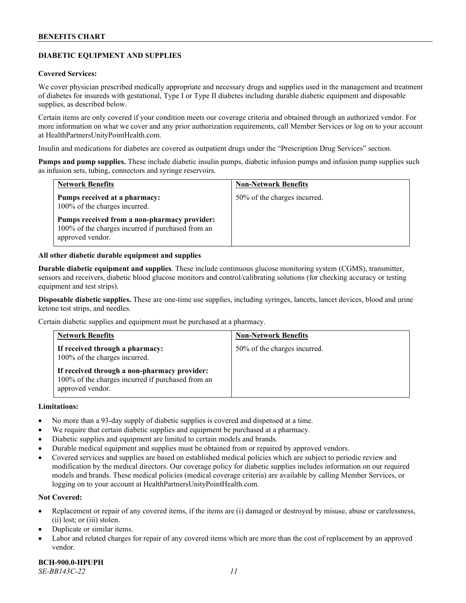# **DIABETIC EQUIPMENT AND SUPPLIES**

### **Covered Services:**

We cover physician prescribed medically appropriate and necessary drugs and supplies used in the management and treatment of diabetes for insureds with gestational, Type I or Type II diabetes including durable diabetic equipment and disposable supplies, as described below.

Certain items are only covered if your condition meets our coverage criteria and obtained through an authorized vendor. For more information on what we cover and any prior authorization requirements, call Member Services or log on to your account at [HealthPartnersUnityPointHealth.com.](https://www.healthpartnersunitypointhealth.com/)

Insulin and medications for diabetes are covered as outpatient drugs under the "Prescription Drug Services" section.

**Pumps and pump supplies.** These include diabetic insulin pumps, diabetic infusion pumps and infusion pump supplies such as infusion sets, tubing, connectors and syringe reservoirs.

| <b>Network Benefits</b>                                                                                               | <b>Non-Network Benefits</b>  |
|-----------------------------------------------------------------------------------------------------------------------|------------------------------|
| Pumps received at a pharmacy:<br>100% of the charges incurred.                                                        | 50% of the charges incurred. |
| Pumps received from a non-pharmacy provider:<br>100% of the charges incurred if purchased from an<br>approved vendor. |                              |

### **All other diabetic durable equipment and supplies**

**Durable diabetic equipment and supplies**. These include continuous glucose monitoring system (CGMS), transmitter, sensors and receivers, diabetic blood glucose monitors and control/calibrating solutions (for checking accuracy or testing equipment and test strips).

**Disposable diabetic supplies.** These are one-time use supplies, including syringes, lancets, lancet devices, blood and urine ketone test strips, and needles.

Certain diabetic supplies and equipment must be purchased at a pharmacy.

| <b>Network Benefits</b>                                                                                               | <b>Non-Network Benefits</b>  |
|-----------------------------------------------------------------------------------------------------------------------|------------------------------|
| If received through a pharmacy:<br>100% of the charges incurred.                                                      | 50% of the charges incurred. |
| If received through a non-pharmacy provider:<br>100% of the charges incurred if purchased from an<br>approved vendor. |                              |

### **Limitations:**

- No more than a 93-day supply of diabetic supplies is covered and dispensed at a time.
- We require that certain diabetic supplies and equipment be purchased at a pharmacy.
- Diabetic supplies and equipment are limited to certain models and brands.
- Durable medical equipment and supplies must be obtained from or repaired by approved vendors.
- Covered services and supplies are based on established medical policies which are subject to periodic review and modification by the medical directors. Our coverage policy for diabetic supplies includes information on our required models and brands. These medical policies (medical coverage criteria) are available by calling Member Services, or logging on to your account a[t HealthPartnersUnityPointHealth.com.](https://www.healthpartnersunitypointhealth.com/)

# **Not Covered:**

- Replacement or repair of any covered items, if the items are (i) damaged or destroyed by misuse, abuse or carelessness, (ii) lost; or (iii) stolen.
- Duplicate or similar items.
- Labor and related charges for repair of any covered items which are more than the cost of replacement by an approved vendor.

**BCH-900.0-HPUPH** *SE-BB143C-22 11*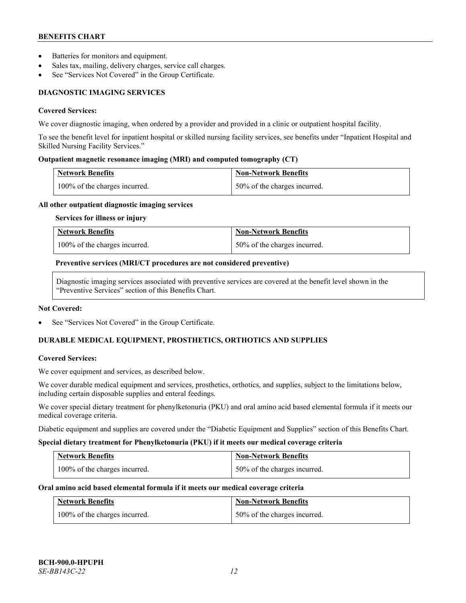- Batteries for monitors and equipment.
- Sales tax, mailing, delivery charges, service call charges.
- See "Services Not Covered" in the Group Certificate.

# **DIAGNOSTIC IMAGING SERVICES**

### **Covered Services:**

We cover diagnostic imaging, when ordered by a provider and provided in a clinic or outpatient hospital facility.

To see the benefit level for inpatient hospital or skilled nursing facility services, see benefits under "Inpatient Hospital and Skilled Nursing Facility Services."

# **Outpatient magnetic resonance imaging (MRI) and computed tomography (CT)**

| <b>Network Benefits</b>       | <b>Non-Network Benefits</b>  |
|-------------------------------|------------------------------|
| 100% of the charges incurred. | 50% of the charges incurred. |

### **All other outpatient diagnostic imaging services**

**Services for illness or injury**

| <b>Network Benefits</b>       | <b>Non-Network Benefits</b>  |
|-------------------------------|------------------------------|
| 100% of the charges incurred. | 50% of the charges incurred. |

### **Preventive services (MRI/CT procedures are not considered preventive)**

Diagnostic imaging services associated with preventive services are covered at the benefit level shown in the "Preventive Services" section of this Benefits Chart.

#### **Not Covered:**

See "Services Not Covered" in the Group Certificate.

# **DURABLE MEDICAL EQUIPMENT, PROSTHETICS, ORTHOTICS AND SUPPLIES**

# **Covered Services:**

We cover equipment and services, as described below.

We cover durable medical equipment and services, prosthetics, orthotics, and supplies, subject to the limitations below, including certain disposable supplies and enteral feedings.

We cover special dietary treatment for phenylketonuria (PKU) and oral amino acid based elemental formula if it meets our medical coverage criteria.

Diabetic equipment and supplies are covered under the "Diabetic Equipment and Supplies" section of this Benefits Chart.

#### **Special dietary treatment for Phenylketonuria (PKU) if it meets our medical coverage criteria**

| <b>Network Benefits</b>       | <b>Non-Network Benefits</b>  |
|-------------------------------|------------------------------|
| 100% of the charges incurred. | 50% of the charges incurred. |

# **Oral amino acid based elemental formula if it meets our medical coverage criteria**

| <b>Network Benefits</b>       | <b>Non-Network Benefits</b>  |
|-------------------------------|------------------------------|
| 100% of the charges incurred. | 50% of the charges incurred. |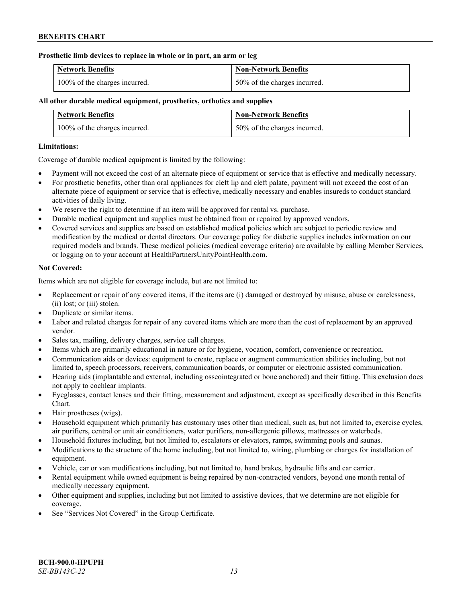### **Prosthetic limb devices to replace in whole or in part, an arm or leg**

| <b>Network Benefits</b>       | <b>Non-Network Benefits</b>  |
|-------------------------------|------------------------------|
| 100% of the charges incurred. | 50% of the charges incurred. |

# **All other durable medical equipment, prosthetics, orthotics and supplies**

| <b>Network Benefits</b>       | <b>Non-Network Benefits</b>  |
|-------------------------------|------------------------------|
| 100% of the charges incurred. | 50% of the charges incurred. |

### **Limitations:**

Coverage of durable medical equipment is limited by the following:

- Payment will not exceed the cost of an alternate piece of equipment or service that is effective and medically necessary.
- For prosthetic benefits, other than oral appliances for cleft lip and cleft palate, payment will not exceed the cost of an alternate piece of equipment or service that is effective, medically necessary and enables insureds to conduct standard activities of daily living.
- We reserve the right to determine if an item will be approved for rental vs. purchase.
- Durable medical equipment and supplies must be obtained from or repaired by approved vendors.
- Covered services and supplies are based on established medical policies which are subject to periodic review and modification by the medical or dental directors. Our coverage policy for diabetic supplies includes information on our required models and brands. These medical policies (medical coverage criteria) are available by calling Member Services, or logging on to your account at [HealthPartnersUnityPointHealth.com.](https://www.healthpartnersunitypointhealth.com/)

# **Not Covered:**

Items which are not eligible for coverage include, but are not limited to:

- Replacement or repair of any covered items, if the items are (i) damaged or destroyed by misuse, abuse or carelessness, (ii) lost; or (iii) stolen.
- Duplicate or similar items.
- Labor and related charges for repair of any covered items which are more than the cost of replacement by an approved vendor.
- Sales tax, mailing, delivery charges, service call charges.
- Items which are primarily educational in nature or for hygiene, vocation, comfort, convenience or recreation.
- Communication aids or devices: equipment to create, replace or augment communication abilities including, but not limited to, speech processors, receivers, communication boards, or computer or electronic assisted communication.
- Hearing aids (implantable and external, including osseointegrated or bone anchored) and their fitting. This exclusion does not apply to cochlear implants.
- Eyeglasses, contact lenses and their fitting, measurement and adjustment, except as specifically described in this Benefits Chart.
- Hair prostheses (wigs).
- Household equipment which primarily has customary uses other than medical, such as, but not limited to, exercise cycles, air purifiers, central or unit air conditioners, water purifiers, non-allergenic pillows, mattresses or waterbeds.
- Household fixtures including, but not limited to, escalators or elevators, ramps, swimming pools and saunas.
- Modifications to the structure of the home including, but not limited to, wiring, plumbing or charges for installation of equipment.
- Vehicle, car or van modifications including, but not limited to, hand brakes, hydraulic lifts and car carrier.
- Rental equipment while owned equipment is being repaired by non-contracted vendors, beyond one month rental of medically necessary equipment.
- Other equipment and supplies, including but not limited to assistive devices, that we determine are not eligible for coverage.
- See "Services Not Covered" in the Group Certificate.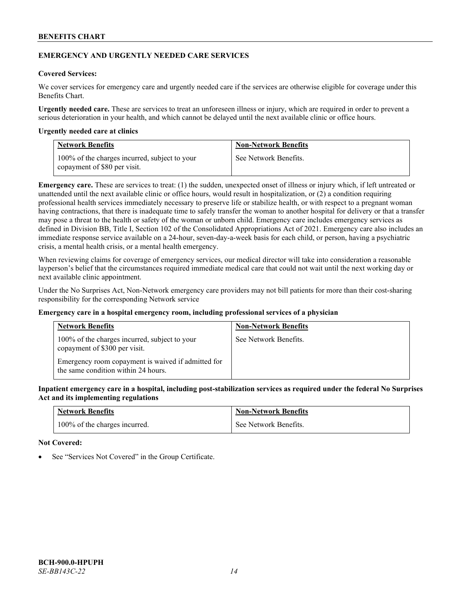# **EMERGENCY AND URGENTLY NEEDED CARE SERVICES**

# **Covered Services:**

We cover services for emergency care and urgently needed care if the services are otherwise eligible for coverage under this Benefits Chart.

**Urgently needed care.** These are services to treat an unforeseen illness or injury, which are required in order to prevent a serious deterioration in your health, and which cannot be delayed until the next available clinic or office hours.

### **Urgently needed care at clinics**

| <b>Network Benefits</b>                                                       | <b>Non-Network Benefits</b> |
|-------------------------------------------------------------------------------|-----------------------------|
| 100% of the charges incurred, subject to your<br>copayment of \$80 per visit. | See Network Benefits.       |

**Emergency care.** These are services to treat: (1) the sudden, unexpected onset of illness or injury which, if left untreated or unattended until the next available clinic or office hours, would result in hospitalization, or (2) a condition requiring professional health services immediately necessary to preserve life or stabilize health, or with respect to a pregnant woman having contractions, that there is inadequate time to safely transfer the woman to another hospital for delivery or that a transfer may pose a threat to the health or safety of the woman or unborn child. Emergency care includes emergency services as defined in Division BB, Title I, Section 102 of the Consolidated Appropriations Act of 2021. Emergency care also includes an immediate response service available on a 24-hour, seven-day-a-week basis for each child, or person, having a psychiatric crisis, a mental health crisis, or a mental health emergency.

When reviewing claims for coverage of emergency services, our medical director will take into consideration a reasonable layperson's belief that the circumstances required immediate medical care that could not wait until the next working day or next available clinic appointment.

Under the No Surprises Act, Non-Network emergency care providers may not bill patients for more than their cost-sharing responsibility for the corresponding Network service

# **Emergency care in a hospital emergency room, including professional services of a physician**

| <b>Network Benefits</b>                                                                   | <b>Non-Network Benefits</b> |
|-------------------------------------------------------------------------------------------|-----------------------------|
| 100% of the charges incurred, subject to your<br>copayment of \$300 per visit.            | See Network Benefits.       |
| Emergency room copayment is waived if admitted for<br>the same condition within 24 hours. |                             |

**Inpatient emergency care in a hospital, including post-stabilization services as required under the federal No Surprises Act and its implementing regulations**

| <b>Network Benefits</b>       | <b>Non-Network Benefits</b> |
|-------------------------------|-----------------------------|
| 100% of the charges incurred. | See Network Benefits.       |

#### **Not Covered:**

See "Services Not Covered" in the Group Certificate.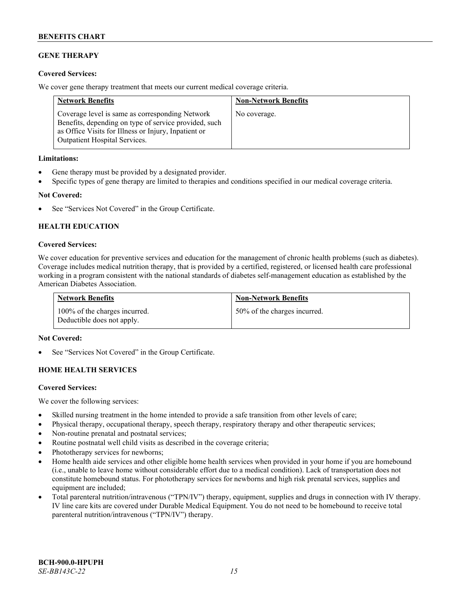# **GENE THERAPY**

# **Covered Services:**

We cover gene therapy treatment that meets our current medical coverage criteria.

| <b>Network Benefits</b>                                                                                                                                                                                  | <b>Non-Network Benefits</b> |
|----------------------------------------------------------------------------------------------------------------------------------------------------------------------------------------------------------|-----------------------------|
| Coverage level is same as corresponding Network<br>Benefits, depending on type of service provided, such<br>as Office Visits for Illness or Injury, Inpatient or<br><b>Outpatient Hospital Services.</b> | No coverage.                |

### **Limitations:**

- Gene therapy must be provided by a designated provider.
- Specific types of gene therapy are limited to therapies and conditions specified in our medical coverage criteria.

# **Not Covered:**

See "Services Not Covered" in the Group Certificate.

# **HEALTH EDUCATION**

### **Covered Services:**

We cover education for preventive services and education for the management of chronic health problems (such as diabetes). Coverage includes medical nutrition therapy, that is provided by a certified, registered, or licensed health care professional working in a program consistent with the national standards of diabetes self-management education as established by the American Diabetes Association.

| <b>Network Benefits</b>                                     | <b>Non-Network Benefits</b>  |
|-------------------------------------------------------------|------------------------------|
| 100% of the charges incurred.<br>Deductible does not apply. | 50% of the charges incurred. |

#### **Not Covered:**

See "Services Not Covered" in the Group Certificate.

# **HOME HEALTH SERVICES**

#### **Covered Services:**

We cover the following services:

- Skilled nursing treatment in the home intended to provide a safe transition from other levels of care;
- Physical therapy, occupational therapy, speech therapy, respiratory therapy and other therapeutic services;
- Non-routine prenatal and postnatal services;
- Routine postnatal well child visits as described in the coverage criteria;
- Phototherapy services for newborns;
- Home health aide services and other eligible home health services when provided in your home if you are homebound (i.e., unable to leave home without considerable effort due to a medical condition). Lack of transportation does not constitute homebound status. For phototherapy services for newborns and high risk prenatal services, supplies and equipment are included;
- Total parenteral nutrition/intravenous ("TPN/IV") therapy, equipment, supplies and drugs in connection with IV therapy. IV line care kits are covered under Durable Medical Equipment. You do not need to be homebound to receive total parenteral nutrition/intravenous ("TPN/IV") therapy.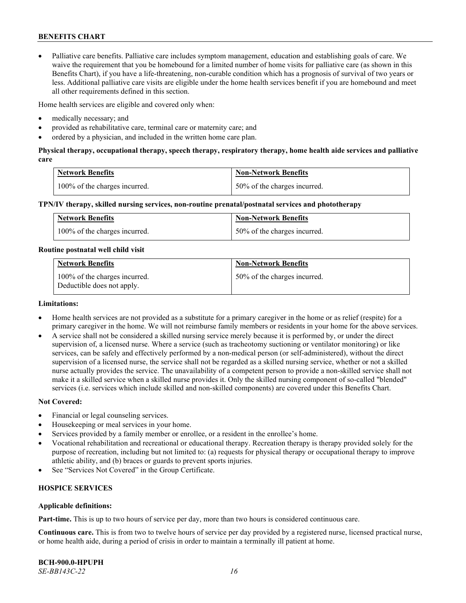• Palliative care benefits. Palliative care includes symptom management, education and establishing goals of care. We waive the requirement that you be homebound for a limited number of home visits for palliative care (as shown in this Benefits Chart), if you have a life-threatening, non-curable condition which has a prognosis of survival of two years or less. Additional palliative care visits are eligible under the home health services benefit if you are homebound and meet all other requirements defined in this section.

Home health services are eligible and covered only when:

- medically necessary; and
- provided as rehabilitative care, terminal care or maternity care; and
- ordered by a physician, and included in the written home care plan.

# **Physical therapy, occupational therapy, speech therapy, respiratory therapy, home health aide services and palliative care**

| <b>Network Benefits</b>       | <b>Non-Network Benefits</b>  |
|-------------------------------|------------------------------|
| 100% of the charges incurred. | 50% of the charges incurred. |

### **TPN/IV therapy, skilled nursing services, non-routine prenatal/postnatal services and phototherapy**

| Network Benefits              | <b>Non-Network Benefits</b>  |
|-------------------------------|------------------------------|
| 100% of the charges incurred. | 50% of the charges incurred. |

#### **Routine postnatal well child visit**

| <b>Network Benefits</b>                                     | <b>Non-Network Benefits</b>  |
|-------------------------------------------------------------|------------------------------|
| 100% of the charges incurred.<br>Deductible does not apply. | 50% of the charges incurred. |

### **Limitations:**

- Home health services are not provided as a substitute for a primary caregiver in the home or as relief (respite) for a primary caregiver in the home. We will not reimburse family members or residents in your home for the above services.
- A service shall not be considered a skilled nursing service merely because it is performed by, or under the direct supervision of, a licensed nurse. Where a service (such as tracheotomy suctioning or ventilator monitoring) or like services, can be safely and effectively performed by a non-medical person (or self-administered), without the direct supervision of a licensed nurse, the service shall not be regarded as a skilled nursing service, whether or not a skilled nurse actually provides the service. The unavailability of a competent person to provide a non-skilled service shall not make it a skilled service when a skilled nurse provides it. Only the skilled nursing component of so-called "blended" services (i.e. services which include skilled and non-skilled components) are covered under this Benefits Chart.

#### **Not Covered:**

- Financial or legal counseling services.
- Housekeeping or meal services in your home.
- Services provided by a family member or enrollee, or a resident in the enrollee's home.
- Vocational rehabilitation and recreational or educational therapy. Recreation therapy is therapy provided solely for the purpose of recreation, including but not limited to: (a) requests for physical therapy or occupational therapy to improve athletic ability, and (b) braces or guards to prevent sports injuries.
- See "Services Not Covered" in the Group Certificate.

# **HOSPICE SERVICES**

#### **Applicable definitions:**

**Part-time.** This is up to two hours of service per day, more than two hours is considered continuous care.

**Continuous care.** This is from two to twelve hours of service per day provided by a registered nurse, licensed practical nurse, or home health aide, during a period of crisis in order to maintain a terminally ill patient at home.

**BCH-900.0-HPUPH** *SE-BB143C-22 16*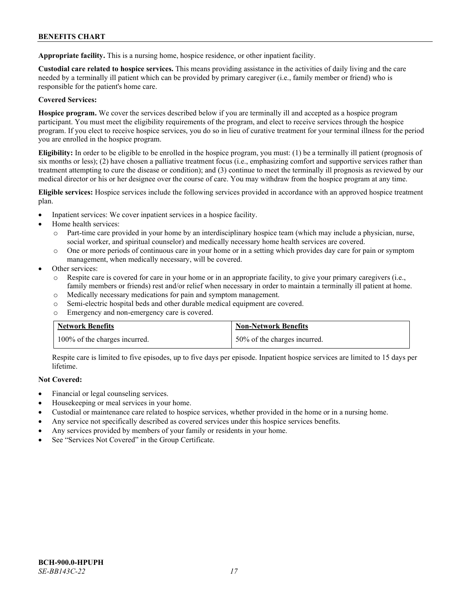**Appropriate facility.** This is a nursing home, hospice residence, or other inpatient facility.

**Custodial care related to hospice services.** This means providing assistance in the activities of daily living and the care needed by a terminally ill patient which can be provided by primary caregiver (i.e., family member or friend) who is responsible for the patient's home care.

# **Covered Services:**

**Hospice program.** We cover the services described below if you are terminally ill and accepted as a hospice program participant. You must meet the eligibility requirements of the program, and elect to receive services through the hospice program. If you elect to receive hospice services, you do so in lieu of curative treatment for your terminal illness for the period you are enrolled in the hospice program.

**Eligibility:** In order to be eligible to be enrolled in the hospice program, you must: (1) be a terminally ill patient (prognosis of six months or less); (2) have chosen a palliative treatment focus (i.e., emphasizing comfort and supportive services rather than treatment attempting to cure the disease or condition); and (3) continue to meet the terminally ill prognosis as reviewed by our medical director or his or her designee over the course of care. You may withdraw from the hospice program at any time.

**Eligible services:** Hospice services include the following services provided in accordance with an approved hospice treatment plan.

- Inpatient services: We cover inpatient services in a hospice facility.
- Home health services:
	- o Part-time care provided in your home by an interdisciplinary hospice team (which may include a physician, nurse, social worker, and spiritual counselor) and medically necessary home health services are covered.
	- o One or more periods of continuous care in your home or in a setting which provides day care for pain or symptom management, when medically necessary, will be covered.
- Other services:
	- o Respite care is covered for care in your home or in an appropriate facility, to give your primary caregivers (i.e., family members or friends) rest and/or relief when necessary in order to maintain a terminally ill patient at home.
	- o Medically necessary medications for pain and symptom management.
	- o Semi-electric hospital beds and other durable medical equipment are covered.
	- Emergency and non-emergency care is covered.

| <b>Network Benefits</b>       | <b>Non-Network Benefits</b>  |
|-------------------------------|------------------------------|
| 100% of the charges incurred. | 50% of the charges incurred. |

Respite care is limited to five episodes, up to five days per episode. Inpatient hospice services are limited to 15 days per lifetime.

# **Not Covered:**

- Financial or legal counseling services.
- Housekeeping or meal services in your home.
- Custodial or maintenance care related to hospice services, whether provided in the home or in a nursing home.
- Any service not specifically described as covered services under this hospice services benefits.
- Any services provided by members of your family or residents in your home.
- See "Services Not Covered" in the Group Certificate.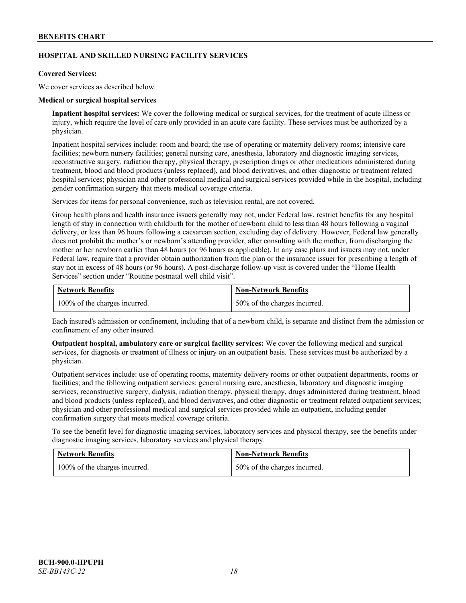# **HOSPITAL AND SKILLED NURSING FACILITY SERVICES**

### **Covered Services:**

We cover services as described below.

### **Medical or surgical hospital services**

**Inpatient hospital services:** We cover the following medical or surgical services, for the treatment of acute illness or injury, which require the level of care only provided in an acute care facility. These services must be authorized by a physician.

Inpatient hospital services include: room and board; the use of operating or maternity delivery rooms; intensive care facilities; newborn nursery facilities; general nursing care, anesthesia, laboratory and diagnostic imaging services, reconstructive surgery, radiation therapy, physical therapy, prescription drugs or other medications administered during treatment, blood and blood products (unless replaced), and blood derivatives, and other diagnostic or treatment related hospital services; physician and other professional medical and surgical services provided while in the hospital, including gender confirmation surgery that meets medical coverage criteria.

Services for items for personal convenience, such as television rental, are not covered.

Group health plans and health insurance issuers generally may not, under Federal law, restrict benefits for any hospital length of stay in connection with childbirth for the mother of newborn child to less than 48 hours following a vaginal delivery, or less than 96 hours following a caesarean section, excluding day of delivery. However, Federal law generally does not prohibit the mother's or newborn's attending provider, after consulting with the mother, from discharging the mother or her newborn earlier than 48 hours (or 96 hours as applicable). In any case plans and issuers may not, under Federal law, require that a provider obtain authorization from the plan or the insurance issuer for prescribing a length of stay not in excess of 48 hours (or 96 hours). A post-discharge follow-up visit is covered under the "Home Health Services" section under "Routine postnatal well child visit".

| <b>Network Benefits</b>       | <b>Non-Network Benefits</b>  |
|-------------------------------|------------------------------|
| 100% of the charges incurred. | 50% of the charges incurred. |

Each insured's admission or confinement, including that of a newborn child, is separate and distinct from the admission or confinement of any other insured.

**Outpatient hospital, ambulatory care or surgical facility services:** We cover the following medical and surgical services, for diagnosis or treatment of illness or injury on an outpatient basis. These services must be authorized by a physician.

Outpatient services include: use of operating rooms, maternity delivery rooms or other outpatient departments, rooms or facilities; and the following outpatient services: general nursing care, anesthesia, laboratory and diagnostic imaging services, reconstructive surgery, dialysis, radiation therapy, physical therapy, drugs administered during treatment, blood and blood products (unless replaced), and blood derivatives, and other diagnostic or treatment related outpatient services; physician and other professional medical and surgical services provided while an outpatient, including gender confirmation surgery that meets medical coverage criteria.

To see the benefit level for diagnostic imaging services, laboratory services and physical therapy, see the benefits under diagnostic imaging services, laboratory services and physical therapy.

| <b>Network Benefits</b>       | <b>Non-Network Benefits</b>  |
|-------------------------------|------------------------------|
| 100% of the charges incurred. | 50% of the charges incurred. |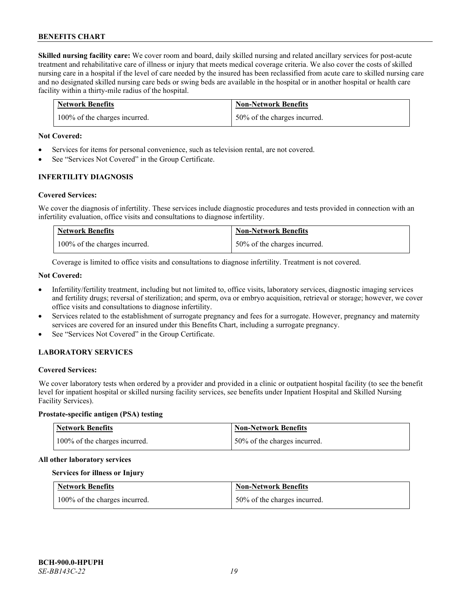**Skilled nursing facility care:** We cover room and board, daily skilled nursing and related ancillary services for post-acute treatment and rehabilitative care of illness or injury that meets medical coverage criteria. We also cover the costs of skilled nursing care in a hospital if the level of care needed by the insured has been reclassified from acute care to skilled nursing care and no designated skilled nursing care beds or swing beds are available in the hospital or in another hospital or health care facility within a thirty-mile radius of the hospital.

| <b>Network Benefits</b>       | <b>Non-Network Benefits</b>      |
|-------------------------------|----------------------------------|
| 100% of the charges incurred. | $150\%$ of the charges incurred. |

### **Not Covered:**

- Services for items for personal convenience, such as television rental, are not covered.
- See "Services Not Covered" in the Group Certificate.

### **INFERTILITY DIAGNOSIS**

### **Covered Services:**

We cover the diagnosis of infertility. These services include diagnostic procedures and tests provided in connection with an infertility evaluation, office visits and consultations to diagnose infertility.

| <b>Network Benefits</b>       | <b>Non-Network Benefits</b>  |
|-------------------------------|------------------------------|
| 100% of the charges incurred. | 50% of the charges incurred. |

Coverage is limited to office visits and consultations to diagnose infertility. Treatment is not covered.

### **Not Covered:**

- Infertility/fertility treatment, including but not limited to, office visits, laboratory services, diagnostic imaging services and fertility drugs; reversal of sterilization; and sperm, ova or embryo acquisition, retrieval or storage; however, we cover office visits and consultations to diagnose infertility.
- Services related to the establishment of surrogate pregnancy and fees for a surrogate. However, pregnancy and maternity services are covered for an insured under this Benefits Chart, including a surrogate pregnancy.
- See "Services Not Covered" in the Group Certificate.

# **LABORATORY SERVICES**

#### **Covered Services:**

We cover laboratory tests when ordered by a provider and provided in a clinic or outpatient hospital facility (to see the benefit level for inpatient hospital or skilled nursing facility services, see benefits under Inpatient Hospital and Skilled Nursing Facility Services).

### **Prostate-specific antigen (PSA) testing**

| <b>Network Benefits</b>       | Non-Network Benefits         |
|-------------------------------|------------------------------|
| 100% of the charges incurred. | 50% of the charges incurred. |

#### **All other laboratory services**

### **Services for illness or Injury**

| <b>Network Benefits</b>       | <b>Non-Network Benefits</b>  |
|-------------------------------|------------------------------|
| 100% of the charges incurred. | 50% of the charges incurred. |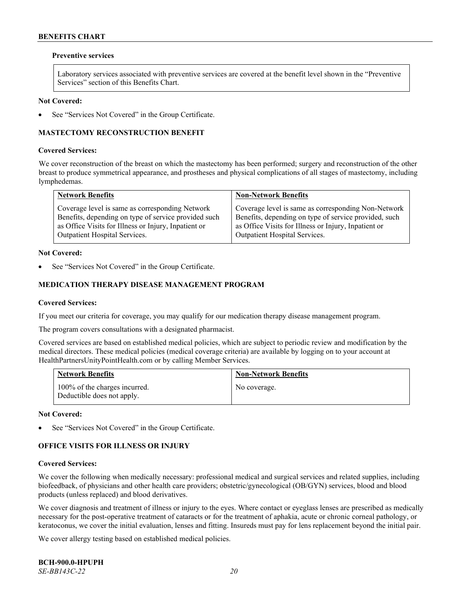#### **Preventive services**

Laboratory services associated with preventive services are covered at the benefit level shown in the "Preventive Services" section of this Benefits Chart.

### **Not Covered:**

See "Services Not Covered" in the Group Certificate.

# **MASTECTOMY RECONSTRUCTION BENEFIT**

#### **Covered Services:**

We cover reconstruction of the breast on which the mastectomy has been performed; surgery and reconstruction of the other breast to produce symmetrical appearance, and prostheses and physical complications of all stages of mastectomy, including lymphedemas.

| <b>Network Benefits</b>                              | <b>Non-Network Benefits</b>                           |
|------------------------------------------------------|-------------------------------------------------------|
| Coverage level is same as corresponding Network      | Coverage level is same as corresponding Non-Network   |
| Benefits, depending on type of service provided such | Benefits, depending on type of service provided, such |
| as Office Visits for Illness or Injury, Inpatient or | as Office Visits for Illness or Injury, Inpatient or  |
| Outpatient Hospital Services.                        | Outpatient Hospital Services.                         |

#### **Not Covered:**

See "Services Not Covered" in the Group Certificate.

# **MEDICATION THERAPY DISEASE MANAGEMENT PROGRAM**

### **Covered Services:**

If you meet our criteria for coverage, you may qualify for our medication therapy disease management program.

The program covers consultations with a designated pharmacist.

Covered services are based on established medical policies, which are subject to periodic review and modification by the medical directors. These medical policies (medical coverage criteria) are available by logging on to your account at [HealthPartnersUnityPointHealth.com](https://www.healthpartnersunitypointhealth.com/) or by calling Member Services.

| <b>Network Benefits</b>                                     | <b>Non-Network Benefits</b> |
|-------------------------------------------------------------|-----------------------------|
| 100% of the charges incurred.<br>Deductible does not apply. | No coverage.                |

**Not Covered:**

See "Services Not Covered" in the Group Certificate.

# **OFFICE VISITS FOR ILLNESS OR INJURY**

#### **Covered Services:**

We cover the following when medically necessary: professional medical and surgical services and related supplies, including biofeedback, of physicians and other health care providers; obstetric/gynecological (OB/GYN) services, blood and blood products (unless replaced) and blood derivatives.

We cover diagnosis and treatment of illness or injury to the eyes. Where contact or eyeglass lenses are prescribed as medically necessary for the post-operative treatment of cataracts or for the treatment of aphakia, acute or chronic corneal pathology, or keratoconus, we cover the initial evaluation, lenses and fitting. Insureds must pay for lens replacement beyond the initial pair.

We cover allergy testing based on established medical policies.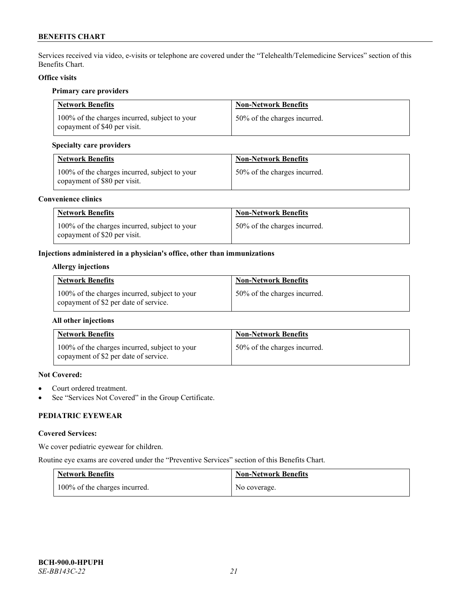Services received via video, e-visits or telephone are covered under the "Telehealth/Telemedicine Services" section of this Benefits Chart.

# **Office visits**

### **Primary care providers**

| <b>Network Benefits</b>                                                       | <b>Non-Network Benefits</b>  |
|-------------------------------------------------------------------------------|------------------------------|
| 100% of the charges incurred, subject to your<br>copayment of \$40 per visit. | 50% of the charges incurred. |

# **Specialty care providers**

| <b>Network Benefits</b>                                                       | <b>Non-Network Benefits</b>  |
|-------------------------------------------------------------------------------|------------------------------|
| 100% of the charges incurred, subject to your<br>copayment of \$80 per visit. | 50% of the charges incurred. |

### **Convenience clinics**

| <b>Network Benefits</b>                                                       | <b>Non-Network Benefits</b>  |
|-------------------------------------------------------------------------------|------------------------------|
| 100% of the charges incurred, subject to your<br>copayment of \$20 per visit. | 50% of the charges incurred. |

# **Injections administered in a physician's office, other than immunizations**

# **Allergy injections**

| <b>Network Benefits</b>                                                                | <b>Non-Network Benefits</b>  |
|----------------------------------------------------------------------------------------|------------------------------|
| 100% of the charges incurred, subject to your<br>copayment of \$2 per date of service. | 50% of the charges incurred. |

# **All other injections**

| <b>Network Benefits</b>                                                                | <b>Non-Network Benefits</b>  |
|----------------------------------------------------------------------------------------|------------------------------|
| 100% of the charges incurred, subject to your<br>copayment of \$2 per date of service. | 50% of the charges incurred. |

# **Not Covered:**

- Court ordered treatment.
- See "Services Not Covered" in the Group Certificate.

# **PEDIATRIC EYEWEAR**

# **Covered Services:**

We cover pediatric eyewear for children.

Routine eye exams are covered under the "Preventive Services" section of this Benefits Chart.

| <b>Network Benefits</b>       | <b>Non-Network Benefits</b> |
|-------------------------------|-----------------------------|
| 100% of the charges incurred. | No coverage.                |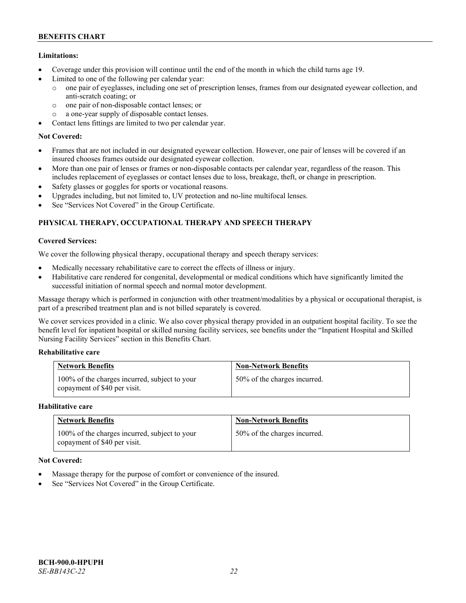# **Limitations:**

- Coverage under this provision will continue until the end of the month in which the child turns age 19.
- Limited to one of the following per calendar year:
	- o one pair of eyeglasses, including one set of prescription lenses, frames from our designated eyewear collection, and anti-scratch coating; or
	- o one pair of non-disposable contact lenses; or
	- o a one-year supply of disposable contact lenses.
- Contact lens fittings are limited to two per calendar year.

# **Not Covered:**

- Frames that are not included in our designated eyewear collection. However, one pair of lenses will be covered if an insured chooses frames outside our designated eyewear collection.
- More than one pair of lenses or frames or non-disposable contacts per calendar year, regardless of the reason. This includes replacement of eyeglasses or contact lenses due to loss, breakage, theft, or change in prescription.
- Safety glasses or goggles for sports or vocational reasons.
- Upgrades including, but not limited to, UV protection and no-line multifocal lenses.
- See "Services Not Covered" in the Group Certificate.

# **PHYSICAL THERAPY, OCCUPATIONAL THERAPY AND SPEECH THERAPY**

# **Covered Services:**

We cover the following physical therapy, occupational therapy and speech therapy services:

- Medically necessary rehabilitative care to correct the effects of illness or injury.
- Habilitative care rendered for congenital, developmental or medical conditions which have significantly limited the successful initiation of normal speech and normal motor development.

Massage therapy which is performed in conjunction with other treatment/modalities by a physical or occupational therapist, is part of a prescribed treatment plan and is not billed separately is covered.

We cover services provided in a clinic. We also cover physical therapy provided in an outpatient hospital facility. To see the benefit level for inpatient hospital or skilled nursing facility services, see benefits under the "Inpatient Hospital and Skilled Nursing Facility Services" section in this Benefits Chart.

# **Rehabilitative care**

| <b>Network Benefits</b>                                                       | <b>Non-Network Benefits</b>  |
|-------------------------------------------------------------------------------|------------------------------|
| 100% of the charges incurred, subject to your<br>copayment of \$40 per visit. | 50% of the charges incurred. |

# **Habilitative care**

| <b>Network Benefits</b>                                                       | <b>Non-Network Benefits</b>  |
|-------------------------------------------------------------------------------|------------------------------|
| 100% of the charges incurred, subject to your<br>copayment of \$40 per visit. | 50% of the charges incurred. |

# **Not Covered:**

- Massage therapy for the purpose of comfort or convenience of the insured.
- See "Services Not Covered" in the Group Certificate.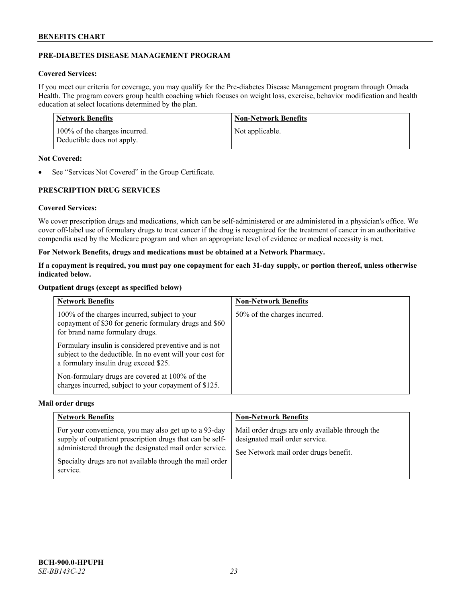# **PRE-DIABETES DISEASE MANAGEMENT PROGRAM**

# **Covered Services:**

If you meet our criteria for coverage, you may qualify for the Pre-diabetes Disease Management program through Omada Health. The program covers group health coaching which focuses on weight loss, exercise, behavior modification and health education at select locations determined by the plan.

| Network Benefits                                            | <b>Non-Network Benefits</b> |
|-------------------------------------------------------------|-----------------------------|
| 100% of the charges incurred.<br>Deductible does not apply. | Not applicable.             |

### **Not Covered:**

• See "Services Not Covered" in the Group Certificate.

# **PRESCRIPTION DRUG SERVICES**

# **Covered Services:**

We cover prescription drugs and medications, which can be self-administered or are administered in a physician's office. We cover off-label use of formulary drugs to treat cancer if the drug is recognized for the treatment of cancer in an authoritative compendia used by the Medicare program and when an appropriate level of evidence or medical necessity is met.

# **For Network Benefits, drugs and medications must be obtained at a Network Pharmacy.**

**If a copayment is required, you must pay one copayment for each 31-day supply, or portion thereof, unless otherwise indicated below.**

### **Outpatient drugs (except as specified below)**

| <b>Network Benefits</b>                                                                                                                                     | <b>Non-Network Benefits</b>  |
|-------------------------------------------------------------------------------------------------------------------------------------------------------------|------------------------------|
| 100% of the charges incurred, subject to your<br>copayment of \$30 for generic formulary drugs and \$60<br>for brand name formulary drugs.                  | 50% of the charges incurred. |
| Formulary insulin is considered preventive and is not<br>subject to the deductible. In no event will your cost for<br>a formulary insulin drug exceed \$25. |                              |
| Non-formulary drugs are covered at 100% of the<br>charges incurred, subject to your copayment of \$125.                                                     |                              |

#### **Mail order drugs**

| <b>Network Benefits</b>                                                                                                                                                                                                                               | <b>Non-Network Benefits</b>                                                                                                |
|-------------------------------------------------------------------------------------------------------------------------------------------------------------------------------------------------------------------------------------------------------|----------------------------------------------------------------------------------------------------------------------------|
| For your convenience, you may also get up to a 93-day<br>supply of outpatient prescription drugs that can be self-<br>administered through the designated mail order service.<br>Specialty drugs are not available through the mail order<br>service. | Mail order drugs are only available through the<br>designated mail order service.<br>See Network mail order drugs benefit. |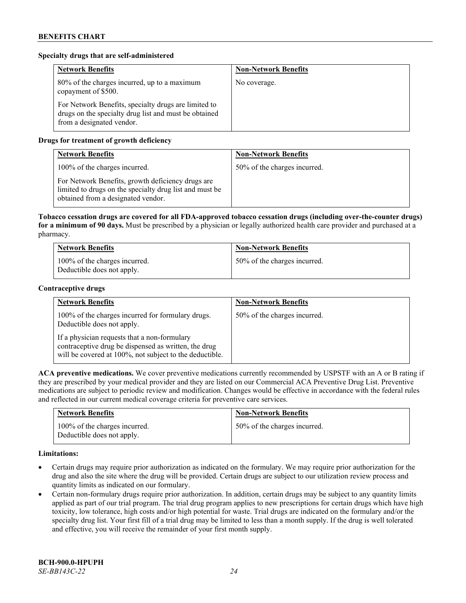### **Specialty drugs that are self-administered**

| <b>Network Benefits</b>                                                                                                                    | <b>Non-Network Benefits</b> |
|--------------------------------------------------------------------------------------------------------------------------------------------|-----------------------------|
| 80% of the charges incurred, up to a maximum<br>copayment of \$500.                                                                        | No coverage.                |
| For Network Benefits, specialty drugs are limited to<br>drugs on the specialty drug list and must be obtained<br>from a designated vendor. |                             |

# **Drugs for treatment of growth deficiency**

| <b>Network Benefits</b>                                                                                                                            | <b>Non-Network Benefits</b>  |
|----------------------------------------------------------------------------------------------------------------------------------------------------|------------------------------|
| 100% of the charges incurred.                                                                                                                      | 50% of the charges incurred. |
| For Network Benefits, growth deficiency drugs are<br>limited to drugs on the specialty drug list and must be<br>obtained from a designated vendor. |                              |

**Tobacco cessation drugs are covered for all FDA-approved tobacco cessation drugs (including over-the-counter drugs) for a minimum of 90 days.** Must be prescribed by a physician or legally authorized health care provider and purchased at a pharmacy.

| <b>Network Benefits</b>                                     | <b>Non-Network Benefits</b>  |
|-------------------------------------------------------------|------------------------------|
| 100% of the charges incurred.<br>Deductible does not apply. | 50% of the charges incurred. |

#### **Contraceptive drugs**

| <b>Network Benefits</b>                                                                                                                                         | <b>Non-Network Benefits</b>  |
|-----------------------------------------------------------------------------------------------------------------------------------------------------------------|------------------------------|
| 100% of the charges incurred for formulary drugs.<br>Deductible does not apply.                                                                                 | 50% of the charges incurred. |
| If a physician requests that a non-formulary<br>contraceptive drug be dispensed as written, the drug<br>will be covered at 100%, not subject to the deductible. |                              |

**ACA preventive medications.** We cover preventive medications currently recommended by USPSTF with an A or B rating if they are prescribed by your medical provider and they are listed on our Commercial ACA Preventive Drug List. Preventive medications are subject to periodic review and modification. Changes would be effective in accordance with the federal rules and reflected in our current medical coverage criteria for preventive care services.

| <b>Network Benefits</b>                                     | <b>Non-Network Benefits</b>  |
|-------------------------------------------------------------|------------------------------|
| 100% of the charges incurred.<br>Deductible does not apply. | 50% of the charges incurred. |

# **Limitations:**

- Certain drugs may require prior authorization as indicated on the formulary. We may require prior authorization for the drug and also the site where the drug will be provided. Certain drugs are subject to our utilization review process and quantity limits as indicated on our formulary.
- Certain non-formulary drugs require prior authorization. In addition, certain drugs may be subject to any quantity limits applied as part of our trial program. The trial drug program applies to new prescriptions for certain drugs which have high toxicity, low tolerance, high costs and/or high potential for waste. Trial drugs are indicated on the formulary and/or the specialty drug list. Your first fill of a trial drug may be limited to less than a month supply. If the drug is well tolerated and effective, you will receive the remainder of your first month supply.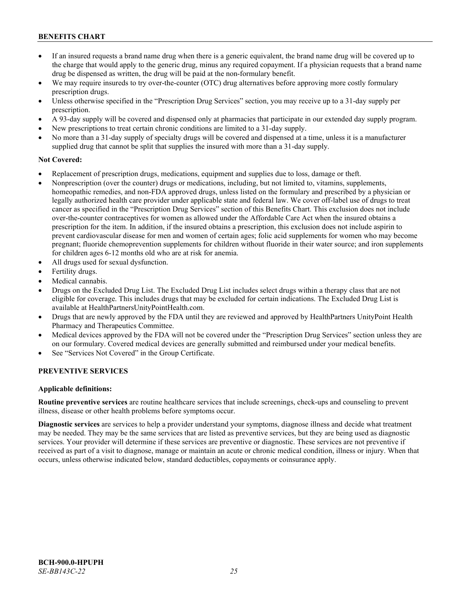- If an insured requests a brand name drug when there is a generic equivalent, the brand name drug will be covered up to the charge that would apply to the generic drug, minus any required copayment. If a physician requests that a brand name drug be dispensed as written, the drug will be paid at the non-formulary benefit.
- We may require insureds to try over-the-counter (OTC) drug alternatives before approving more costly formulary prescription drugs.
- Unless otherwise specified in the "Prescription Drug Services" section, you may receive up to a 31-day supply per prescription.
- A 93-day supply will be covered and dispensed only at pharmacies that participate in our extended day supply program.
- New prescriptions to treat certain chronic conditions are limited to a 31-day supply.
- No more than a 31-day supply of specialty drugs will be covered and dispensed at a time, unless it is a manufacturer supplied drug that cannot be split that supplies the insured with more than a 31-day supply.

### **Not Covered:**

- Replacement of prescription drugs, medications, equipment and supplies due to loss, damage or theft.
- Nonprescription (over the counter) drugs or medications, including, but not limited to, vitamins, supplements, homeopathic remedies, and non-FDA approved drugs, unless listed on the formulary and prescribed by a physician or legally authorized health care provider under applicable state and federal law. We cover off-label use of drugs to treat cancer as specified in the "Prescription Drug Services" section of this Benefits Chart. This exclusion does not include over-the-counter contraceptives for women as allowed under the Affordable Care Act when the insured obtains a prescription for the item. In addition, if the insured obtains a prescription, this exclusion does not include aspirin to prevent cardiovascular disease for men and women of certain ages; folic acid supplements for women who may become pregnant; fluoride chemoprevention supplements for children without fluoride in their water source; and iron supplements for children ages 6-12 months old who are at risk for anemia.
- All drugs used for sexual dysfunction.
- Fertility drugs.
- Medical cannabis.
- Drugs on the Excluded Drug List. The Excluded Drug List includes select drugs within a therapy class that are not eligible for coverage. This includes drugs that may be excluded for certain indications. The Excluded Drug List is available a[t HealthPartnersUnityPointHealth.com.](https://www.healthpartnersunitypointhealth.com/)
- Drugs that are newly approved by the FDA until they are reviewed and approved by HealthPartners UnityPoint Health Pharmacy and Therapeutics Committee.
- Medical devices approved by the FDA will not be covered under the "Prescription Drug Services" section unless they are on our formulary. Covered medical devices are generally submitted and reimbursed under your medical benefits.
- See "Services Not Covered" in the Group Certificate.

# **PREVENTIVE SERVICES**

#### **Applicable definitions:**

**Routine preventive services** are routine healthcare services that include screenings, check-ups and counseling to prevent illness, disease or other health problems before symptoms occur.

**Diagnostic services** are services to help a provider understand your symptoms, diagnose illness and decide what treatment may be needed. They may be the same services that are listed as preventive services, but they are being used as diagnostic services. Your provider will determine if these services are preventive or diagnostic. These services are not preventive if received as part of a visit to diagnose, manage or maintain an acute or chronic medical condition, illness or injury. When that occurs, unless otherwise indicated below, standard deductibles, copayments or coinsurance apply.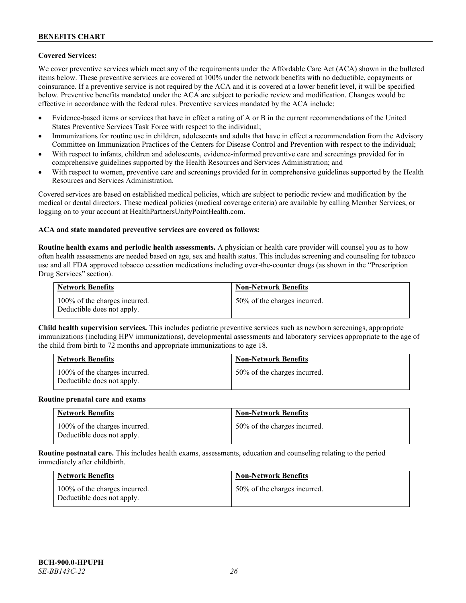## **Covered Services:**

We cover preventive services which meet any of the requirements under the Affordable Care Act (ACA) shown in the bulleted items below. These preventive services are covered at 100% under the network benefits with no deductible, copayments or coinsurance. If a preventive service is not required by the ACA and it is covered at a lower benefit level, it will be specified below. Preventive benefits mandated under the ACA are subject to periodic review and modification. Changes would be effective in accordance with the federal rules. Preventive services mandated by the ACA include:

- Evidence-based items or services that have in effect a rating of A or B in the current recommendations of the United States Preventive Services Task Force with respect to the individual;
- Immunizations for routine use in children, adolescents and adults that have in effect a recommendation from the Advisory Committee on Immunization Practices of the Centers for Disease Control and Prevention with respect to the individual;
- With respect to infants, children and adolescents, evidence-informed preventive care and screenings provided for in comprehensive guidelines supported by the Health Resources and Services Administration; and
- With respect to women, preventive care and screenings provided for in comprehensive guidelines supported by the Health Resources and Services Administration.

Covered services are based on established medical policies, which are subject to periodic review and modification by the medical or dental directors. These medical policies (medical coverage criteria) are available by calling Member Services, or logging on to your account at [HealthPartnersUnityPointHealth.com.](https://www.healthpartnersunitypointhealth.com/)

#### **ACA and state mandated preventive services are covered as follows:**

**Routine health exams and periodic health assessments.** A physician or health care provider will counsel you as to how often health assessments are needed based on age, sex and health status. This includes screening and counseling for tobacco use and all FDA approved tobacco cessation medications including over-the-counter drugs (as shown in the "Prescription Drug Services" section).

| <b>Network Benefits</b>                                     | <b>Non-Network Benefits</b>  |
|-------------------------------------------------------------|------------------------------|
| 100% of the charges incurred.<br>Deductible does not apply. | 50% of the charges incurred. |

**Child health supervision services.** This includes pediatric preventive services such as newborn screenings, appropriate immunizations (including HPV immunizations), developmental assessments and laboratory services appropriate to the age of the child from birth to 72 months and appropriate immunizations to age 18.

| <b>Network Benefits</b>                                     | <b>Non-Network Benefits</b>  |
|-------------------------------------------------------------|------------------------------|
| 100% of the charges incurred.<br>Deductible does not apply. | 50% of the charges incurred. |

#### **Routine prenatal care and exams**

| <b>Network Benefits</b>                                     | <b>Non-Network Benefits</b>  |
|-------------------------------------------------------------|------------------------------|
| 100% of the charges incurred.<br>Deductible does not apply. | 50% of the charges incurred. |

**Routine postnatal care.** This includes health exams, assessments, education and counseling relating to the period immediately after childbirth.

| <b>Network Benefits</b>                                     | <b>Non-Network Benefits</b>  |
|-------------------------------------------------------------|------------------------------|
| 100% of the charges incurred.<br>Deductible does not apply. | 50% of the charges incurred. |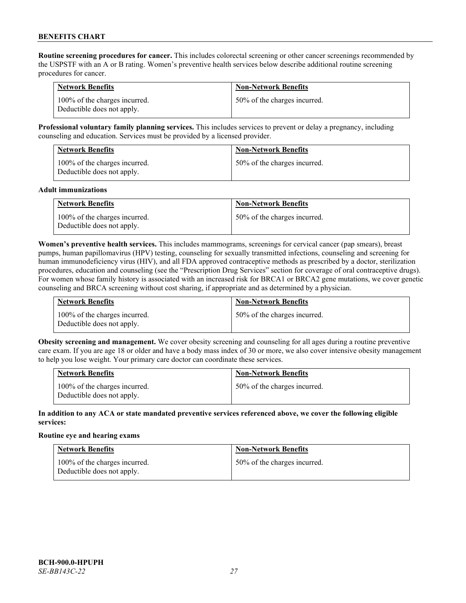**Routine screening procedures for cancer.** This includes colorectal screening or other cancer screenings recommended by the USPSTF with an A or B rating. Women's preventive health services below describe additional routine screening procedures for cancer.

| <b>Network Benefits</b>                                     | <b>Non-Network Benefits</b>  |
|-------------------------------------------------------------|------------------------------|
| 100% of the charges incurred.<br>Deductible does not apply. | 50% of the charges incurred. |

**Professional voluntary family planning services.** This includes services to prevent or delay a pregnancy, including counseling and education. Services must be provided by a licensed provider.

| <b>Network Benefits</b>                                     | <b>Non-Network Benefits</b>  |
|-------------------------------------------------------------|------------------------------|
| 100% of the charges incurred.<br>Deductible does not apply. | 50% of the charges incurred. |

#### **Adult immunizations**

| <b>Network Benefits</b>                                     | <b>Non-Network Benefits</b>  |
|-------------------------------------------------------------|------------------------------|
| 100% of the charges incurred.<br>Deductible does not apply. | 50% of the charges incurred. |

**Women's preventive health services.** This includes mammograms, screenings for cervical cancer (pap smears), breast pumps, human papillomavirus (HPV) testing, counseling for sexually transmitted infections, counseling and screening for human immunodeficiency virus (HIV), and all FDA approved contraceptive methods as prescribed by a doctor, sterilization procedures, education and counseling (see the "Prescription Drug Services" section for coverage of oral contraceptive drugs). For women whose family history is associated with an increased risk for BRCA1 or BRCA2 gene mutations, we cover genetic counseling and BRCA screening without cost sharing, if appropriate and as determined by a physician.

| <b>Network Benefits</b>                                     | <b>Non-Network Benefits</b>  |
|-------------------------------------------------------------|------------------------------|
| 100% of the charges incurred.<br>Deductible does not apply. | 50% of the charges incurred. |

**Obesity screening and management.** We cover obesity screening and counseling for all ages during a routine preventive care exam. If you are age 18 or older and have a body mass index of 30 or more, we also cover intensive obesity management to help you lose weight. Your primary care doctor can coordinate these services.

| <b>Network Benefits</b>                                     | <b>Non-Network Benefits</b>  |
|-------------------------------------------------------------|------------------------------|
| 100% of the charges incurred.<br>Deductible does not apply. | 50% of the charges incurred. |

### **In addition to any ACA or state mandated preventive services referenced above, we cover the following eligible services:**

#### **Routine eye and hearing exams**

| <b>Network Benefits</b>                                     | <b>Non-Network Benefits</b>  |
|-------------------------------------------------------------|------------------------------|
| 100% of the charges incurred.<br>Deductible does not apply. | 50% of the charges incurred. |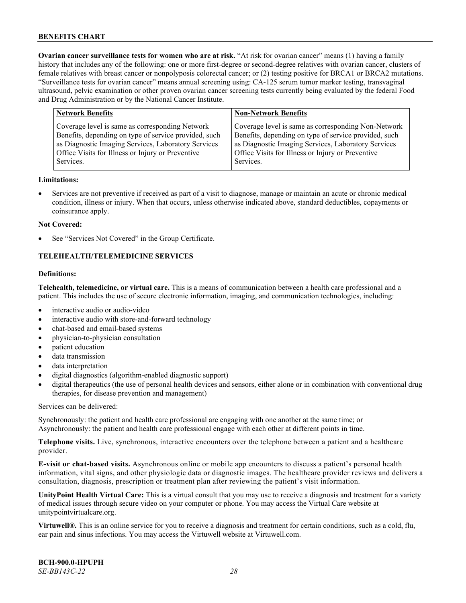**Ovarian cancer surveillance tests for women who are at risk.** "At risk for ovarian cancer" means (1) having a family history that includes any of the following: one or more first-degree or second-degree relatives with ovarian cancer, clusters of female relatives with breast cancer or nonpolyposis colorectal cancer; or (2) testing positive for BRCA1 or BRCA2 mutations. "Surveillance tests for ovarian cancer" means annual screening using: CA-125 serum tumor marker testing, transvaginal ultrasound, pelvic examination or other proven ovarian cancer screening tests currently being evaluated by the federal Food and Drug Administration or by the National Cancer Institute.

| <b>Network Benefits</b>                               | <b>Non-Network Benefits</b>                           |
|-------------------------------------------------------|-------------------------------------------------------|
| Coverage level is same as corresponding Network       | Coverage level is same as corresponding Non-Network   |
| Benefits, depending on type of service provided, such | Benefits, depending on type of service provided, such |
| as Diagnostic Imaging Services, Laboratory Services   | as Diagnostic Imaging Services, Laboratory Services   |
| Office Visits for Illness or Injury or Preventive     | Office Visits for Illness or Injury or Preventive     |
| Services.                                             | Services.                                             |

#### **Limitations:**

• Services are not preventive if received as part of a visit to diagnose, manage or maintain an acute or chronic medical condition, illness or injury. When that occurs, unless otherwise indicated above, standard deductibles, copayments or coinsurance apply.

#### **Not Covered:**

See "Services Not Covered" in the Group Certificate.

# **TELEHEALTH/TELEMEDICINE SERVICES**

### **Definitions:**

**Telehealth, telemedicine, or virtual care.** This is a means of communication between a health care professional and a patient. This includes the use of secure electronic information, imaging, and communication technologies, including:

- interactive audio or audio-video
- interactive audio with store-and-forward technology
- chat-based and email-based systems
- physician-to-physician consultation
- patient education
- data transmission
- data interpretation
- digital diagnostics (algorithm-enabled diagnostic support)
- digital therapeutics (the use of personal health devices and sensors, either alone or in combination with conventional drug therapies, for disease prevention and management)

Services can be delivered:

Synchronously: the patient and health care professional are engaging with one another at the same time; or Asynchronously: the patient and health care professional engage with each other at different points in time.

**Telephone visits.** Live, synchronous, interactive encounters over the telephone between a patient and a healthcare provider.

**E-visit or chat-based visits.** Asynchronous online or mobile app encounters to discuss a patient's personal health information, vital signs, and other physiologic data or diagnostic images. The healthcare provider reviews and delivers a consultation, diagnosis, prescription or treatment plan after reviewing the patient's visit information.

**UnityPoint Health Virtual Care:** This is a virtual consult that you may use to receive a diagnosis and treatment for a variety of medical issues through secure video on your computer or phone. You may access the Virtual Care website at [unitypointvirtualcare.org.](https://unitypointvirtualcare.org/landing.htm)

**Virtuwell®.** This is an online service for you to receive a diagnosis and treatment for certain conditions, such as a cold, flu, ear pain and sinus infections. You may access the Virtuwell website at [Virtuwell.com.](https://www.virtuwell.com/)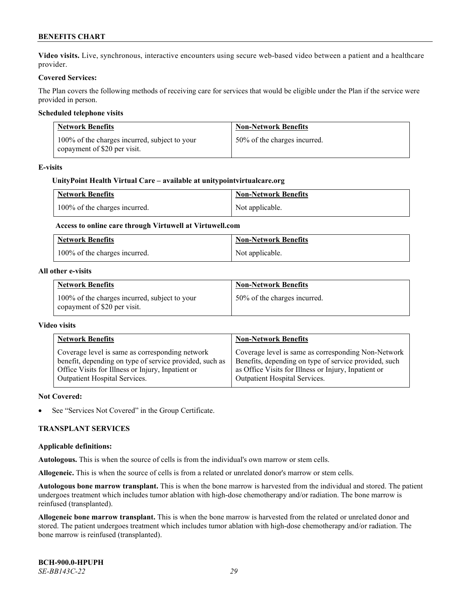**Video visits.** Live, synchronous, interactive encounters using secure web-based video between a patient and a healthcare provider.

### **Covered Services:**

The Plan covers the following methods of receiving care for services that would be eligible under the Plan if the service were provided in person.

### **Scheduled telephone visits**

| <b>Network Benefits</b>                                                       | <b>Non-Network Benefits</b>  |
|-------------------------------------------------------------------------------|------------------------------|
| 100% of the charges incurred, subject to your<br>copayment of \$20 per visit. | 50% of the charges incurred. |

#### **E-visits**

### **UnityPoint Health Virtual Care – available a[t unitypointvirtualcare.org](http://www.unitypointvirtualcare.org/)**

| <b>Network Benefits</b>       | <b>Non-Network Benefits</b> |
|-------------------------------|-----------------------------|
| 100% of the charges incurred. | Not applicable.             |

# **Access to online care through Virtuwell at [Virtuwell.com](http://www.virtuwell.com/)**

| <b>Network Benefits</b>       | <b>Non-Network Benefits</b> |
|-------------------------------|-----------------------------|
| 100% of the charges incurred. | Not applicable.             |

#### **All other e-visits**

| <b>Network Benefits</b>                                                       | <b>Non-Network Benefits</b>  |
|-------------------------------------------------------------------------------|------------------------------|
| 100% of the charges incurred, subject to your<br>copayment of \$20 per visit. | 50% of the charges incurred. |

#### **Video visits**

| <b>Network Benefits</b>                                 | <b>Non-Network Benefits</b>                           |
|---------------------------------------------------------|-------------------------------------------------------|
| Coverage level is same as corresponding network         | Coverage level is same as corresponding Non-Network   |
| benefit, depending on type of service provided, such as | Benefits, depending on type of service provided, such |
| Office Visits for Illness or Injury, Inpatient or       | as Office Visits for Illness or Injury, Inpatient or  |
| Outpatient Hospital Services.                           | Outpatient Hospital Services.                         |

#### **Not Covered:**

See "Services Not Covered" in the Group Certificate.

#### **TRANSPLANT SERVICES**

#### **Applicable definitions:**

**Autologous.** This is when the source of cells is from the individual's own marrow or stem cells.

**Allogeneic.** This is when the source of cells is from a related or unrelated donor's marrow or stem cells.

**Autologous bone marrow transplant.** This is when the bone marrow is harvested from the individual and stored. The patient undergoes treatment which includes tumor ablation with high-dose chemotherapy and/or radiation. The bone marrow is reinfused (transplanted).

**Allogeneic bone marrow transplant.** This is when the bone marrow is harvested from the related or unrelated donor and stored. The patient undergoes treatment which includes tumor ablation with high-dose chemotherapy and/or radiation. The bone marrow is reinfused (transplanted).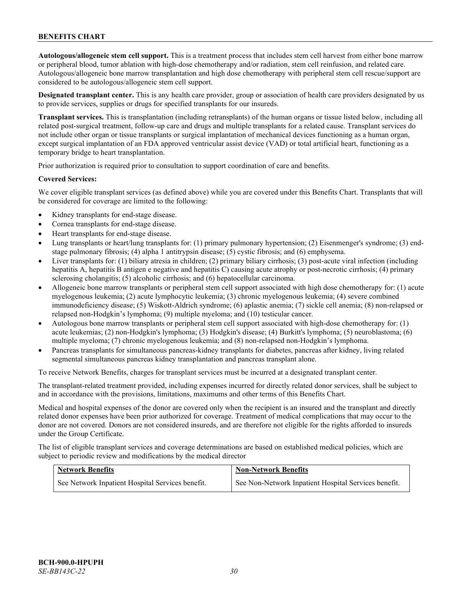**Autologous/allogeneic stem cell support.** This is a treatment process that includes stem cell harvest from either bone marrow or peripheral blood, tumor ablation with high-dose chemotherapy and/or radiation, stem cell reinfusion, and related care. Autologous/allogeneic bone marrow transplantation and high dose chemotherapy with peripheral stem cell rescue/support are considered to be autologous/allogeneic stem cell support.

**Designated transplant center.** This is any health care provider, group or association of health care providers designated by us to provide services, supplies or drugs for specified transplants for our insureds.

**Transplant services.** This is transplantation (including retransplants) of the human organs or tissue listed below, including all related post-surgical treatment, follow-up care and drugs and multiple transplants for a related cause. Transplant services do not include other organ or tissue transplants or surgical implantation of mechanical devices functioning as a human organ, except surgical implantation of an FDA approved ventricular assist device (VAD) or total artificial heart, functioning as a temporary bridge to heart transplantation.

Prior authorization is required prior to consultation to support coordination of care and benefits.

#### **Covered Services:**

We cover eligible transplant services (as defined above) while you are covered under this Benefits Chart. Transplants that will be considered for coverage are limited to the following:

- Kidney transplants for end-stage disease.
- Cornea transplants for end-stage disease.
- Heart transplants for end-stage disease.
- Lung transplants or heart/lung transplants for: (1) primary pulmonary hypertension; (2) Eisenmenger's syndrome; (3) endstage pulmonary fibrosis; (4) alpha 1 antitrypsin disease; (5) cystic fibrosis; and (6) emphysema.
- Liver transplants for: (1) biliary atresia in children; (2) primary biliary cirrhosis; (3) post-acute viral infection (including hepatitis A, hepatitis B antigen e negative and hepatitis C) causing acute atrophy or post-necrotic cirrhosis; (4) primary sclerosing cholangitis; (5) alcoholic cirrhosis; and (6) hepatocellular carcinoma.
- Allogeneic bone marrow transplants or peripheral stem cell support associated with high dose chemotherapy for: (1) acute myelogenous leukemia; (2) acute lymphocytic leukemia; (3) chronic myelogenous leukemia; (4) severe combined immunodeficiency disease; (5) Wiskott-Aldrich syndrome; (6) aplastic anemia; (7) sickle cell anemia; (8) non-relapsed or relapsed non-Hodgkin's lymphoma; (9) multiple myeloma; and (10) testicular cancer.
- Autologous bone marrow transplants or peripheral stem cell support associated with high-dose chemotherapy for: (1) acute leukemias; (2) non-Hodgkin's lymphoma; (3) Hodgkin's disease; (4) Burkitt's lymphoma; (5) neuroblastoma; (6) multiple myeloma; (7) chronic myelogenous leukemia; and (8) non-relapsed non-Hodgkin's lymphoma.
- Pancreas transplants for simultaneous pancreas-kidney transplants for diabetes, pancreas after kidney, living related segmental simultaneous pancreas kidney transplantation and pancreas transplant alone.

To receive Network Benefits, charges for transplant services must be incurred at a designated transplant center.

The transplant-related treatment provided, including expenses incurred for directly related donor services, shall be subject to and in accordance with the provisions, limitations, maximums and other terms of this Benefits Chart.

Medical and hospital expenses of the donor are covered only when the recipient is an insured and the transplant and directly related donor expenses have been prior authorized for coverage. Treatment of medical complications that may occur to the donor are not covered. Donors are not considered insureds, and are therefore not eligible for the rights afforded to insureds under the Group Certificate.

The list of eligible transplant services and coverage determinations are based on established medical policies, which are subject to periodic review and modifications by the medical director

| <b>Network Benefits</b>                          | <b>Non-Network Benefits</b>                          |
|--------------------------------------------------|------------------------------------------------------|
| See Network Inpatient Hospital Services benefit. | See Non-Network Inpatient Hospital Services benefit. |